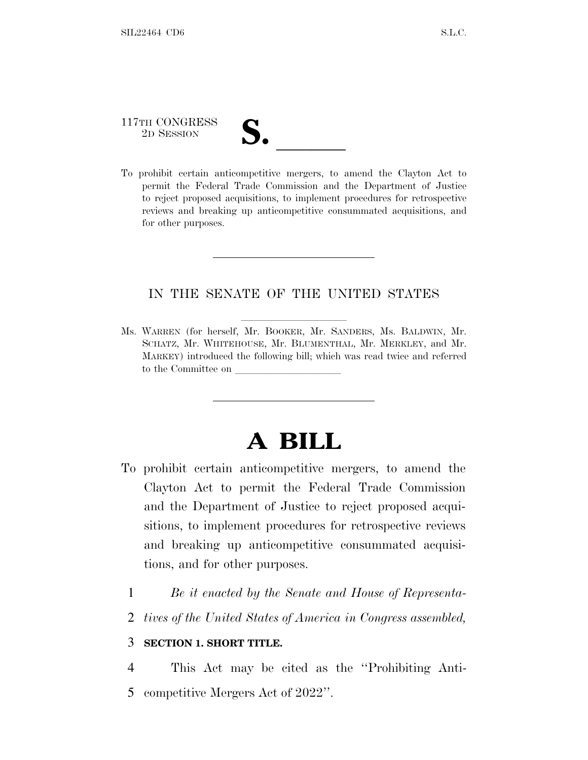# 117TH CONGRESS 117TH CONGRESS<br>
2D SESSION<br>
To prohibit certain anticompetitive mergers, to amend the Clayton Act to

permit the Federal Trade Commission and the Department of Justice to reject proposed acquisitions, to implement procedures for retrospective reviews and breaking up anticompetitive consummated acquisitions, and for other purposes.

### IN THE SENATE OF THE UNITED STATES

Ms. WARREN (for herself, Mr. BOOKER, Mr. SANDERS, Ms. BALDWIN, Mr. SCHATZ, Mr. WHITEHOUSE, Mr. BLUMENTHAL, Mr. MERKLEY, and Mr. MARKEY) introduced the following bill; which was read twice and referred to the Committee on

# **A BILL**

- To prohibit certain anticompetitive mergers, to amend the Clayton Act to permit the Federal Trade Commission and the Department of Justice to reject proposed acquisitions, to implement procedures for retrospective reviews and breaking up anticompetitive consummated acquisitions, and for other purposes.
	- 1 *Be it enacted by the Senate and House of Representa-*
	- 2 *tives of the United States of America in Congress assembled,*

## 3 **SECTION 1. SHORT TITLE.**

4 This Act may be cited as the ''Prohibiting Anti-5 competitive Mergers Act of 2022''.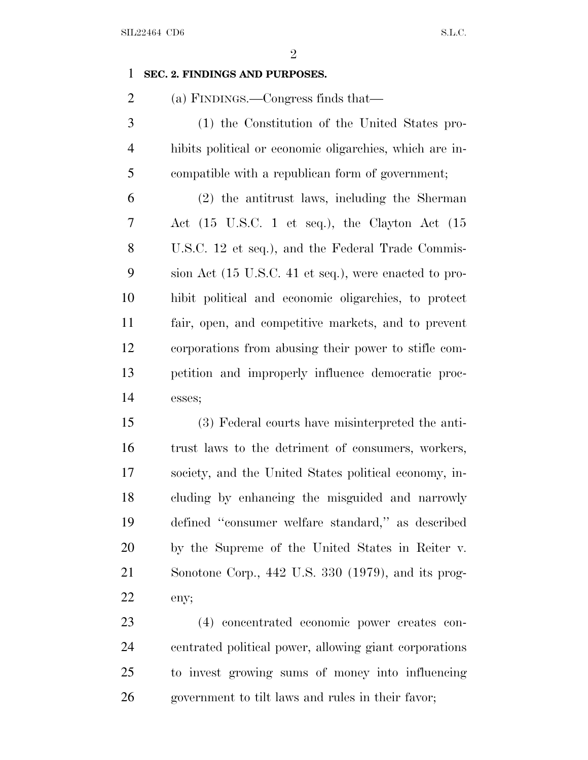#### **SEC. 2. FINDINGS AND PURPOSES.**

(a) FINDINGS.—Congress finds that—

 (1) the Constitution of the United States pro- hibits political or economic oligarchies, which are in-compatible with a republican form of government;

 (2) the antitrust laws, including the Sherman Act (15 U.S.C. 1 et seq.), the Clayton Act (15 U.S.C. 12 et seq.), and the Federal Trade Commis- sion Act (15 U.S.C. 41 et seq.), were enacted to pro- hibit political and economic oligarchies, to protect fair, open, and competitive markets, and to prevent corporations from abusing their power to stifle com- petition and improperly influence democratic proc-esses;

 (3) Federal courts have misinterpreted the anti- trust laws to the detriment of consumers, workers, society, and the United States political economy, in- cluding by enhancing the misguided and narrowly defined ''consumer welfare standard,'' as described by the Supreme of the United States in Reiter v. Sonotone Corp., 442 U.S. 330 (1979), and its prog-eny;

 (4) concentrated economic power creates con- centrated political power, allowing giant corporations to invest growing sums of money into influencing government to tilt laws and rules in their favor;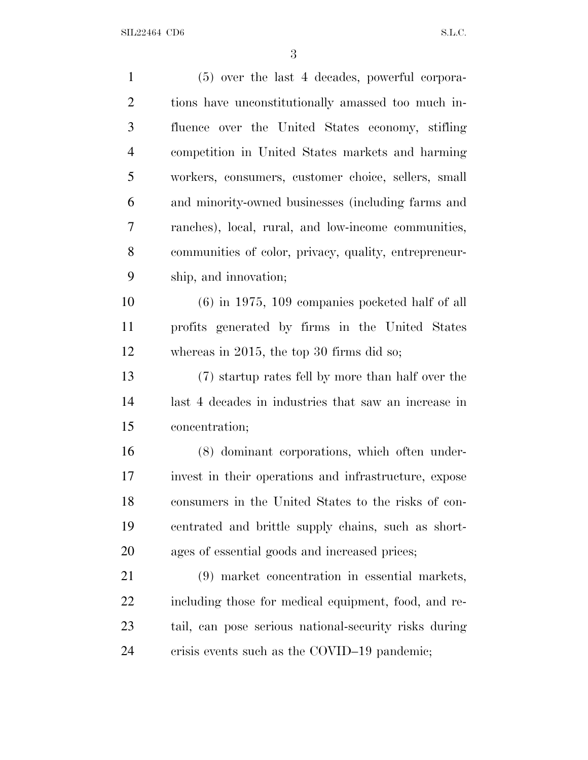| $\mathbf{1}$   | $(5)$ over the last 4 decades, powerful corpora-      |
|----------------|-------------------------------------------------------|
| $\overline{2}$ | tions have unconstitutionally amassed too much in-    |
| 3              | fluence over the United States economy, stifling      |
| $\overline{4}$ | competition in United States markets and harming      |
| 5              | workers, consumers, customer choice, sellers, small   |
| 6              | and minority-owned businesses (including farms and    |
| 7              | ranches), local, rural, and low-income communities,   |
| 8              | communities of color, privacy, quality, entrepreneur- |
| 9              | ship, and innovation;                                 |
| 10             | $(6)$ in 1975, 109 companies pocketed half of all     |
| 11             | profits generated by firms in the United States       |
| 12             | whereas in 2015, the top 30 firms did so;             |
| 13             | (7) startup rates fell by more than half over the     |
| 14             | last 4 decades in industries that saw an increase in  |
| 15             | concentration;                                        |
| 16             | (8) dominant corporations, which often under-         |
| 17             | invest in their operations and infrastructure, expose |
| 18             | consumers in the United States to the risks of con-   |
| 19             | centrated and brittle supply chains, such as short-   |
| 20             | ages of essential goods and increased prices;         |
| 21             | (9) market concentration in essential markets,        |
| 22             | including those for medical equipment, food, and re-  |
| 23             | tail, can pose serious national-security risks during |
| 24             | crisis events such as the COVID-19 pandemic;          |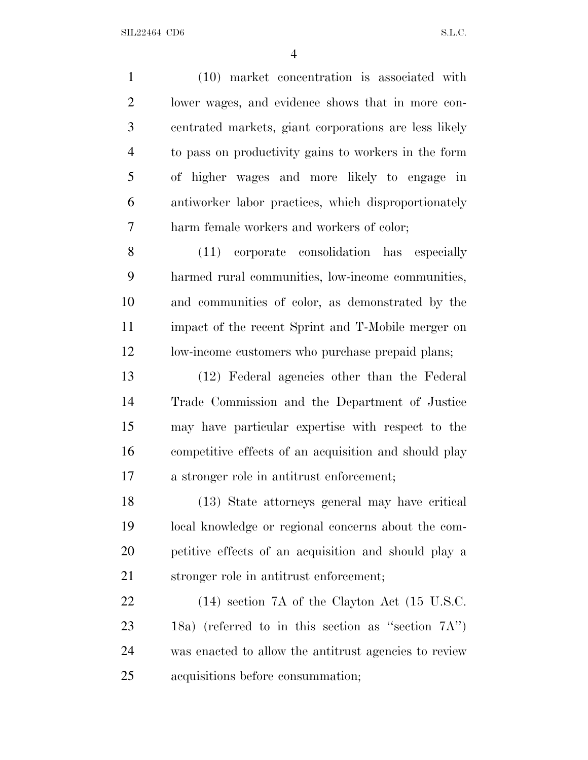(10) market concentration is associated with lower wages, and evidence shows that in more con- centrated markets, giant corporations are less likely to pass on productivity gains to workers in the form of higher wages and more likely to engage in antiworker labor practices, which disproportionately harm female workers and workers of color; (11) corporate consolidation has especially harmed rural communities, low-income communities, and communities of color, as demonstrated by the impact of the recent Sprint and T-Mobile merger on low-income customers who purchase prepaid plans; (12) Federal agencies other than the Federal Trade Commission and the Department of Justice may have particular expertise with respect to the competitive effects of an acquisition and should play a stronger role in antitrust enforcement; (13) State attorneys general may have critical local knowledge or regional concerns about the com- petitive effects of an acquisition and should play a stronger role in antitrust enforcement; (14) section 7A of the Clayton Act (15 U.S.C. 18a) (referred to in this section as ''section 7A'') was enacted to allow the antitrust agencies to review acquisitions before consummation;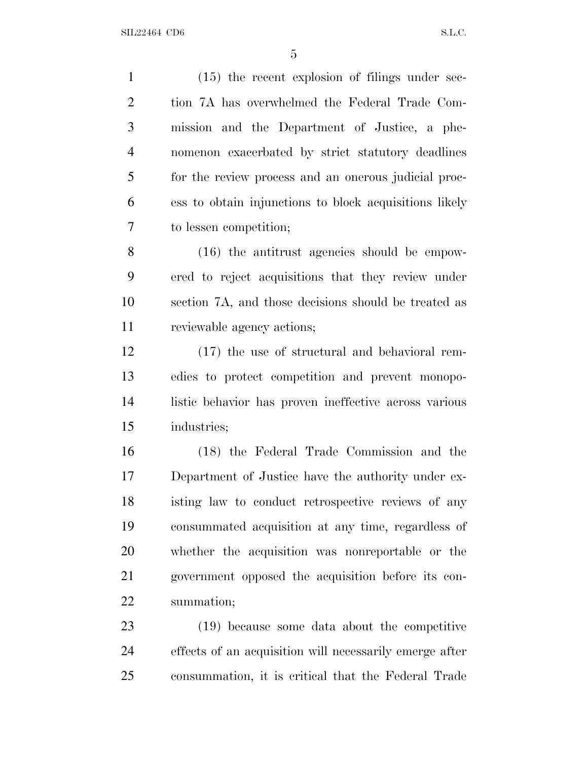(15) the recent explosion of filings under sec- tion 7A has overwhelmed the Federal Trade Com- mission and the Department of Justice, a phe- nomenon exacerbated by strict statutory deadlines for the review process and an onerous judicial proc- ess to obtain injunctions to block acquisitions likely to lessen competition; (16) the antitrust agencies should be empow- ered to reject acquisitions that they review under section 7A, and those decisions should be treated as reviewable agency actions; (17) the use of structural and behavioral rem- edies to protect competition and prevent monopo- listic behavior has proven ineffective across various industries; (18) the Federal Trade Commission and the Department of Justice have the authority under ex- isting law to conduct retrospective reviews of any consummated acquisition at any time, regardless of whether the acquisition was nonreportable or the government opposed the acquisition before its con- summation; (19) because some data about the competitive effects of an acquisition will necessarily emerge after consummation, it is critical that the Federal Trade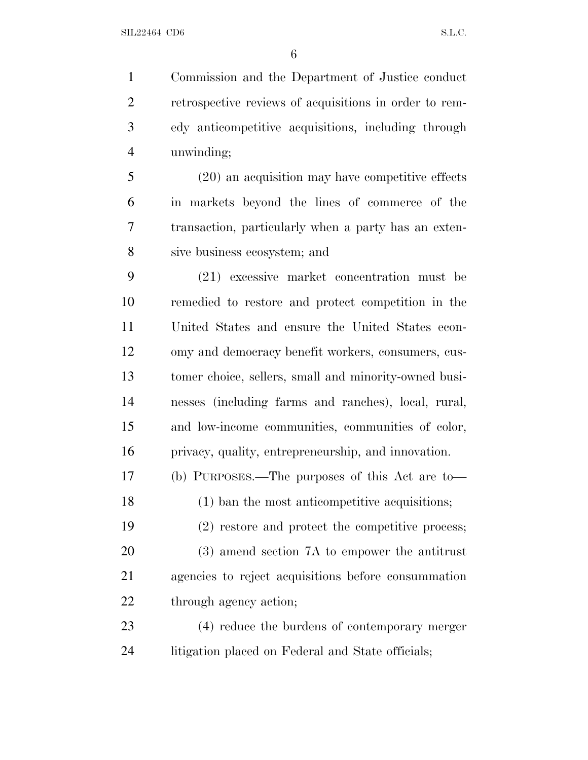Commission and the Department of Justice conduct retrospective reviews of acquisitions in order to rem- edy anticompetitive acquisitions, including through unwinding;

 (20) an acquisition may have competitive effects in markets beyond the lines of commerce of the transaction, particularly when a party has an exten-sive business ecosystem; and

 (21) excessive market concentration must be remedied to restore and protect competition in the United States and ensure the United States econ- omy and democracy benefit workers, consumers, cus- tomer choice, sellers, small and minority-owned busi- nesses (including farms and ranches), local, rural, and low-income communities, communities of color, privacy, quality, entrepreneurship, and innovation.

(b) PURPOSES.—The purposes of this Act are to—

(1) ban the most anticompetitive acquisitions;

 (2) restore and protect the competitive process; (3) amend section 7A to empower the antitrust agencies to reject acquisitions before consummation 22 through agency action;

 (4) reduce the burdens of contemporary merger litigation placed on Federal and State officials;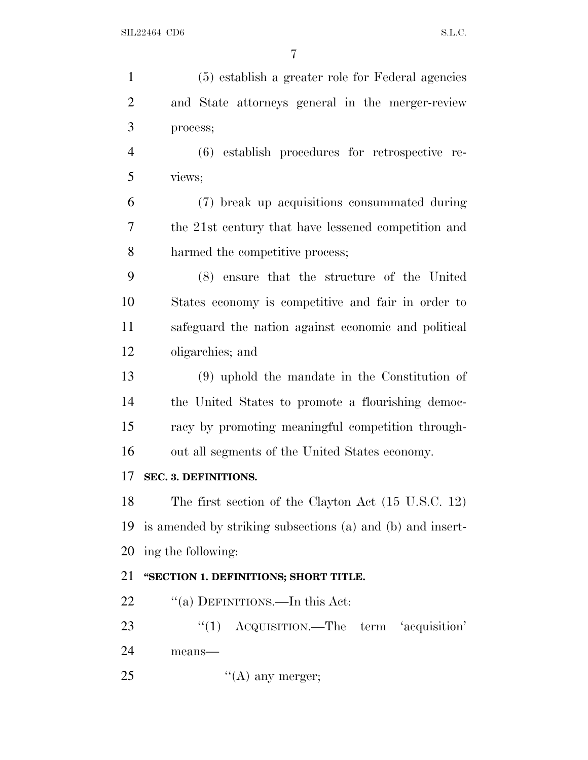| $\mathbf{1}$   | (5) establish a greater role for Federal agencies          |
|----------------|------------------------------------------------------------|
| $\overline{2}$ | and State attorneys general in the merger-review           |
| 3              | process;                                                   |
| $\overline{4}$ | (6) establish procedures for retrospective re-             |
| 5              | views;                                                     |
| 6              | (7) break up acquisitions consummated during               |
| 7              | the 21st century that have lessened competition and        |
| 8              | harmed the competitive process;                            |
| 9              | (8) ensure that the structure of the United                |
| 10             | States economy is competitive and fair in order to         |
| 11             | safeguard the nation against economic and political        |
| 12             | oligarchies; and                                           |
| 13             | $(9)$ uphold the mandate in the Constitution of            |
| 14             | the United States to promote a flourishing democ-          |
| 15             | racy by promoting meaningful competition through-          |
| 16             | out all segments of the United States economy.             |
| 17             | SEC. 3. DEFINITIONS.                                       |
| 18             | The first section of the Clayton Act (15 U.S.C. 12)        |
| 19             | is amended by striking subsections (a) and (b) and insert- |
| 20             | ing the following:                                         |
| 21             | "SECTION 1. DEFINITIONS; SHORT TITLE.                      |
| 22             | "(a) DEFINITIONS.—In this Act:                             |
| 23             | ACQUISITION.—The term 'acquisition'<br>``(1)               |
| 24             | means-                                                     |
| 25             | $\lq\lq$ (A) any merger;                                   |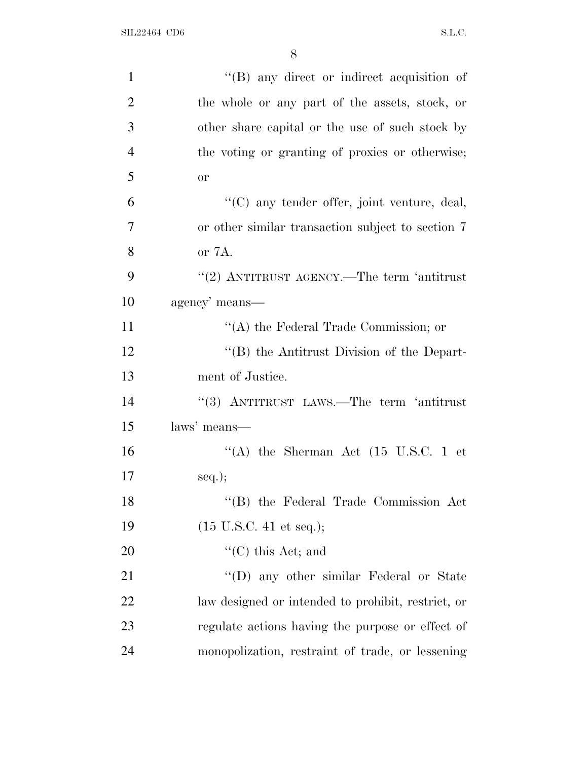| $\mathbf{1}$   | $\lq\lq(B)$ any direct or indirect acquisition of  |
|----------------|----------------------------------------------------|
| $\overline{2}$ | the whole or any part of the assets, stock, or     |
| 3              | other share capital or the use of such stock by    |
| $\overline{4}$ | the voting or granting of proxies or otherwise;    |
| 5              | <b>or</b>                                          |
| 6              | "(C) any tender offer, joint venture, deal,        |
| 7              | or other similar transaction subject to section 7  |
| 8              | or 7A.                                             |
| 9              | "(2) ANTITRUST AGENCY.—The term 'antitrust         |
| 10             | agency' means—                                     |
| 11             | $\lq\lq$ the Federal Trade Commission; or          |
| 12             | "(B) the Antitrust Division of the Depart-         |
| 13             | ment of Justice.                                   |
| 14             | "(3) ANTITRUST LAWS.—The term 'antitrust           |
| 15             | laws' means—                                       |
| 16             | "(A) the Sherman Act $(15 \text{ U.S.C. 1 et})$    |
| 17             | $seq.$ ;                                           |
| 18             | "(B) the Federal Trade Commission Act              |
| 19             | $(15 \text{ U.S.C. } 41 \text{ et seq.});$         |
| 20             | $\lq\lq$ (C) this Act; and                         |
| 21             | "(D) any other similar Federal or State            |
| 22             | law designed or intended to prohibit, restrict, or |
| 23             | regulate actions having the purpose or effect of   |
| 24             | monopolization, restraint of trade, or lessening   |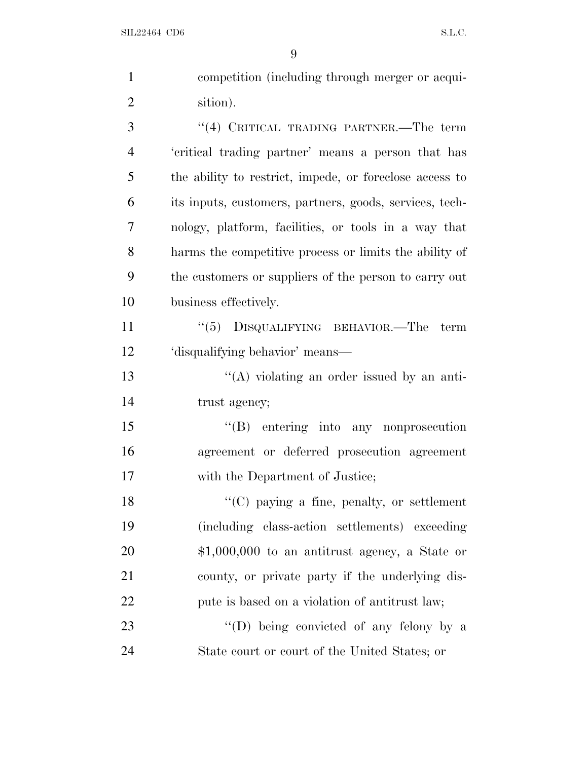| $\mathbf{1}$   | competition (including through merger or acqui-         |
|----------------|---------------------------------------------------------|
| $\overline{2}$ | sition).                                                |
| 3              | "(4) CRITICAL TRADING PARTNER.—The term                 |
| $\overline{4}$ | 'critical trading partner' means a person that has      |
| 5              | the ability to restrict, impede, or foreclose access to |
| 6              | its inputs, customers, partners, goods, services, tech- |
| 7              | nology, platform, facilities, or tools in a way that    |
| 8              | harms the competitive process or limits the ability of  |
| 9              | the customers or suppliers of the person to carry out   |
| 10             | business effectively.                                   |
| 11             | $``(5)$ DISQUALIFYING BEHAVIOR.—The<br>term             |
| 12             | 'disqualifying behavior' means—                         |
| 13             | $\lq\lq$ violating an order issued by an anti-          |
| 14             | trust agency;                                           |
| 15             | $\lq\lq(B)$ entering into any nonprosecution            |
| 16             | agreement or deferred prosecution agreement             |
| 17             | with the Department of Justice;                         |
| 18             | "(C) paying a fine, penalty, or settlement              |
| 19             | (including class-action settlements) exceeding          |
| 20             | $$1,000,000$ to an antitrust agency, a State or         |
| 21             | county, or private party if the underlying dis-         |
| 22             | pute is based on a violation of antitrust law;          |
| 23             | $\lq\lq$ (D) being convicted of any felony by a         |
| 24             | State court or court of the United States; or           |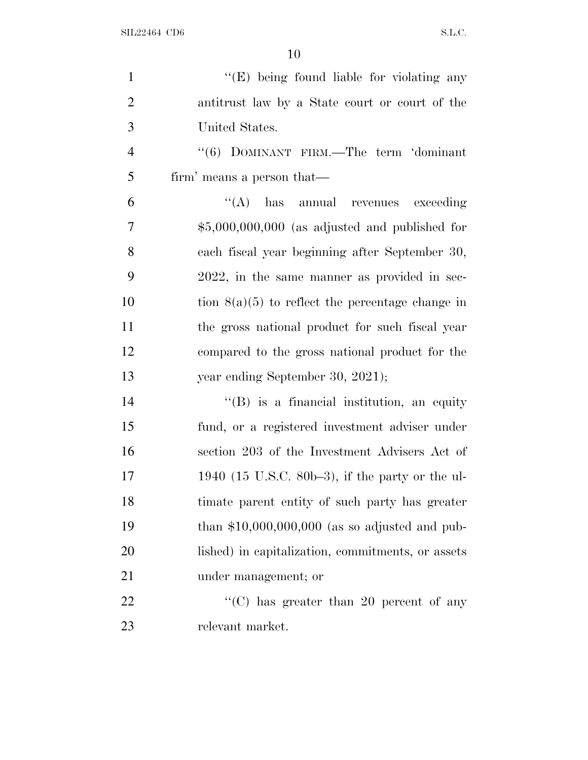| $\mathbf{1}$   | "(E) being found liable for violating any          |
|----------------|----------------------------------------------------|
| $\overline{2}$ | antitrust law by a State court or court of the     |
| 3              | United States.                                     |
| $\overline{4}$ | "(6) DOMINANT FIRM.—The term 'dominant             |
| 5              | firm' means a person that—                         |
| 6              | $\lq\lq$ has annual revenues<br>exceeding          |
| 7              | $$5,000,000,000$ (as adjusted and published for    |
| 8              | each fiscal year beginning after September 30,     |
| 9              | 2022, in the same manner as provided in sec-       |
| 10             | tion $8(a)(5)$ to reflect the percentage change in |
| 11             | the gross national product for such fiscal year    |
| 12             | compared to the gross national product for the     |
| 13             | year ending September 30, 2021);                   |
| 14             | $\lq\lq (B)$ is a financial institution, an equity |
| 15             | fund, or a registered investment adviser under     |
| 16             | section 203 of the Investment Advisers Act of      |
| 17             | 1940 (15 U.S.C. 80b–3), if the party or the ul-    |
| 18             | timate parent entity of such party has greater     |
| 19             | than $$10,000,000,000$ (as so adjusted and pub-    |
| 20             | lished) in capitalization, commitments, or assets  |
| 21             | under management; or                               |
| 22             | "(C) has greater than 20 percent of any            |
| 23             | relevant market.                                   |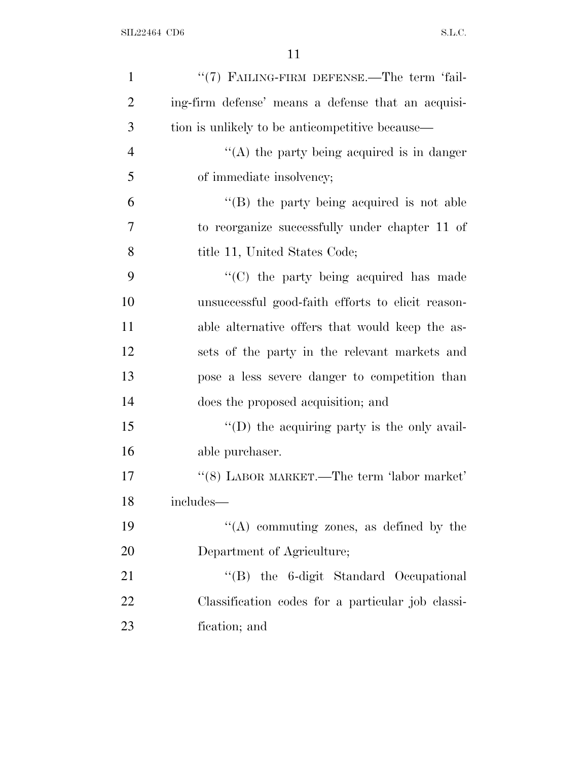| $\mathbf{1}$   | "(7) FAILING-FIRM DEFENSE.—The term 'fail-         |
|----------------|----------------------------------------------------|
| $\overline{2}$ | ing-firm defense' means a defense that an acquisi- |
| 3              | tion is unlikely to be anticompetitive because—    |
| $\overline{4}$ | "(A) the party being acquired is in danger         |
| 5              | of immediate insolvency;                           |
| 6              | $\lq$ (B) the party being acquired is not able     |
| 7              | to reorganize successfully under chapter 11 of     |
| 8              | title 11, United States Code;                      |
| 9              | "(C) the party being acquired has made             |
| 10             | unsuccessful good-faith efforts to elicit reason-  |
| 11             | able alternative offers that would keep the as-    |
| 12             | sets of the party in the relevant markets and      |
| 13             | pose a less severe danger to competition than      |
| 14             | does the proposed acquisition; and                 |
| 15             | "(D) the acquiring party is the only avail-        |
| 16             | able purchaser.                                    |
| 17             | $``(8)$ LABOR MARKET.—The term 'labor market'      |
| 18             | includes-                                          |
| 19             | $\lq\lq$ commuting zones, as defined by the        |
| 20             | Department of Agriculture;                         |
| 21             | "(B) the 6-digit Standard Occupational             |
| 22             | Classification codes for a particular job classi-  |
| 23             | fication; and                                      |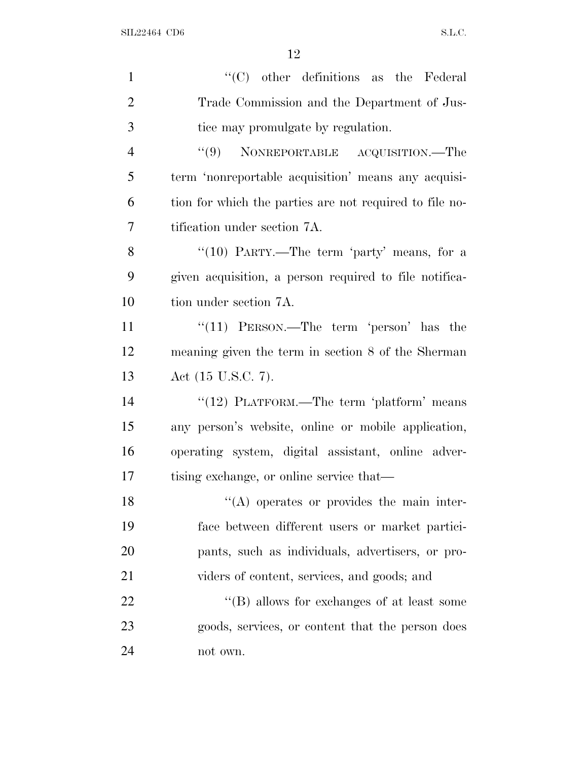| $\mathbf{1}$   | $\lq\lq$ (C) other definitions as the Federal           |
|----------------|---------------------------------------------------------|
| $\overline{2}$ | Trade Commission and the Department of Jus-             |
| 3              | tice may promulgate by regulation.                      |
| $\overline{4}$ | "(9) NONREPORTABLE ACQUISITION.—The                     |
| 5              | term 'nonreportable acquisition' means any acquisi-     |
| 6              | tion for which the parties are not required to file no- |
| 7              | tification under section 7A.                            |
| 8              | "(10) PARTY.—The term 'party' means, for a              |
| 9              | given acquisition, a person required to file notifica-  |
| 10             | tion under section 7A.                                  |
| 11             | " $(11)$ PERSON.—The term 'person' has the              |
| 12             | meaning given the term in section 8 of the Sherman      |
| 13             | Act (15 U.S.C. 7).                                      |
| 14             | "(12) PLATFORM.—The term 'platform' means               |
| 15             | any person's website, online or mobile application,     |
| 16             | operating system, digital assistant, online adver-      |
| 17             | tising exchange, or online service that—                |
| 18             | $\lq\lq$ operates or provides the main inter-           |
| 19             | face between different users or market partici-         |
| 20             | pants, such as individuals, advertisers, or pro-        |
| 21             | viders of content, services, and goods; and             |
| 22             | "(B) allows for exchanges of at least some              |
| 23             | goods, services, or content that the person does        |
| 24             | not own.                                                |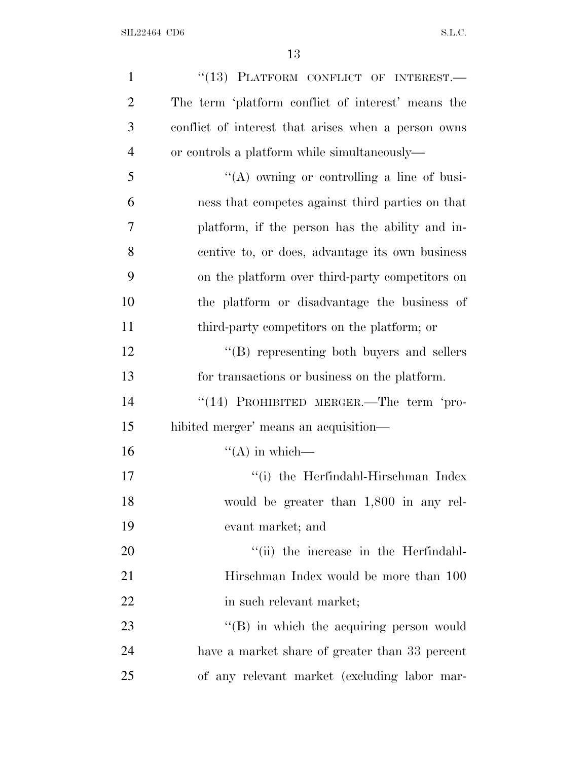| $\mathbf{1}$   | "(13) PLATFORM CONFLICT OF INTEREST.-               |
|----------------|-----------------------------------------------------|
| $\overline{2}$ | The term 'platform conflict of interest' means the  |
| 3              | conflict of interest that arises when a person owns |
| $\overline{4}$ | or controls a platform while simultaneously—        |
| 5              | "(A) owning or controlling a line of busi-          |
| 6              | ness that competes against third parties on that    |
| 7              | platform, if the person has the ability and in-     |
| 8              | centive to, or does, advantage its own business     |
| 9              | on the platform over third-party competitors on     |
| 10             | the platform or disadvantage the business of        |
| 11             | third-party competitors on the platform; or         |
| 12             | "(B) representing both buyers and sellers           |
| 13             | for transactions or business on the platform.       |
| 14             | "(14) PROHIBITED MERGER.—The term 'pro-             |
| 15             | hibited merger' means an acquisition—               |
| 16             | $\lq\lq (A)$ in which—                              |
| 17             | "(i) the Herfindahl-Hirschman Index                 |
| 18             | would be greater than 1,800 in any rel-             |
| 19             | evant market; and                                   |
| 20             | "(ii) the increase in the Herfindahl-               |
| 21             | Hirschman Index would be more than 100              |
| 22             | in such relevant market;                            |
| 23             | "(B) in which the acquiring person would            |
| 24             | have a market share of greater than 33 percent      |
| 25             | of any relevant market (excluding labor mar-        |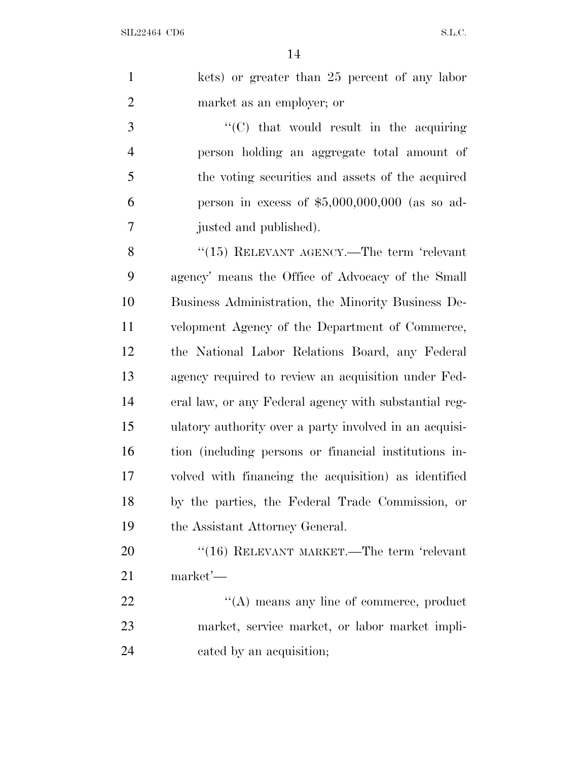|   | kets) or greater than 25 percent of any labor   |
|---|-------------------------------------------------|
|   | market as an employer; or                       |
| 3 | $\lq\lq$ (C) that would result in the acquiring |

 person holding an aggregate total amount of the voting securities and assets of the acquired person in excess of \$5,000,000,000 (as so ad-justed and published).

8 "(15) RELEVANT AGENCY.—The term 'relevant agency' means the Office of Advocacy of the Small Business Administration, the Minority Business De- velopment Agency of the Department of Commerce, the National Labor Relations Board, any Federal agency required to review an acquisition under Fed- eral law, or any Federal agency with substantial reg- ulatory authority over a party involved in an acquisi- tion (including persons or financial institutions in- volved with financing the acquisition) as identified by the parties, the Federal Trade Commission, or 19 the Assistant Attorney General.

20 "(16) RELEVANT MARKET.—The term 'relevant market'—

22 "'(A) means any line of commerce, product market, service market, or labor market impli-cated by an acquisition;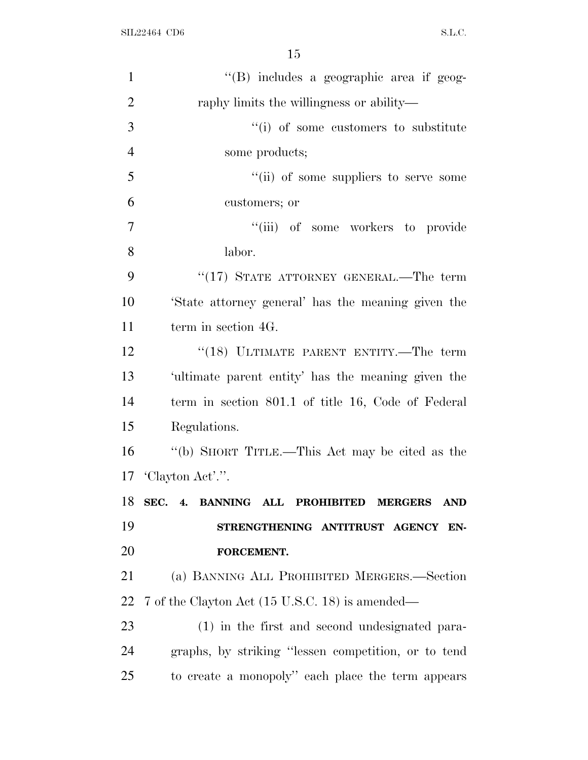| $\mathbf{1}$   | "(B) includes a geographic area if geog-                |
|----------------|---------------------------------------------------------|
| $\overline{2}$ | raphy limits the willingness or ability—                |
| 3              | "(i) of some customers to substitute                    |
| $\overline{4}$ | some products;                                          |
| 5              | "(ii) of some suppliers to serve some                   |
| 6              | customers; or                                           |
| $\overline{7}$ | "(iii) of some workers to provide                       |
| 8              | labor.                                                  |
| 9              | "(17) STATE ATTORNEY GENERAL.—The term                  |
| 10             | State attorney general' has the meaning given the       |
| 11             | term in section 4G.                                     |
| 12             | "(18) ULTIMATE PARENT ENTITY.—The term                  |
| 13             | 'ultimate parent entity' has the meaning given the      |
| 14             | term in section 801.1 of title 16, Code of Federal      |
| 15             | Regulations.                                            |
| 16             | "(b) SHORT TITLE.—This Act may be cited as the          |
| 17             | 'Clayton Act'.".                                        |
|                | 18 SEC. 4. BANNING ALL PROHIBITED MERGERS<br><b>AND</b> |
| 19             | STRENGTHENING ANTITRUST AGENCY EN-                      |
| 20             | FORCEMENT.                                              |
| 21             | (a) BANNING ALL PROHIBITED MERGERS.—Section             |
| 22             | 7 of the Clayton Act (15 U.S.C. 18) is amended—         |
| 23             | (1) in the first and second undesignated para-          |
| 24             | graphs, by striking "lessen competition, or to tend     |
| 25             | to create a monopoly" each place the term appears       |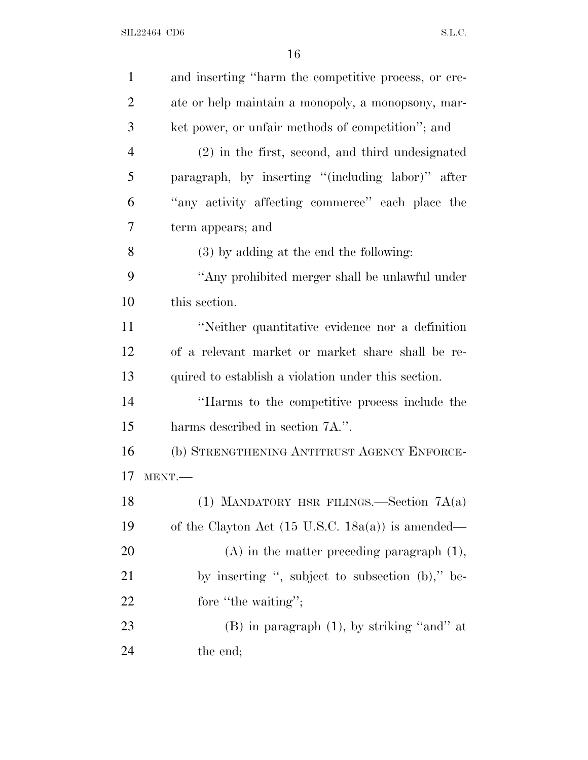| $\mathbf{1}$   | and inserting "harm the competitive process, or cre-         |
|----------------|--------------------------------------------------------------|
| $\overline{2}$ | ate or help maintain a monopoly, a monopsony, mar-           |
| 3              | ket power, or unfair methods of competition"; and            |
| $\overline{4}$ | (2) in the first, second, and third undesignated             |
| 5              | paragraph, by inserting "(including labor)" after            |
| 6              | "any activity affecting commerce" each place the             |
| 7              | term appears; and                                            |
| 8              | (3) by adding at the end the following:                      |
| 9              | "Any prohibited merger shall be unlawful under               |
| 10             | this section.                                                |
| 11             | "Neither quantitative evidence nor a definition              |
| 12             | of a relevant market or market share shall be re-            |
| 13             | quired to establish a violation under this section.          |
| 14             | "Harms to the competitive process include the                |
| 15             | harms described in section 7A.".                             |
| 16             | (b) STRENGTHENING ANTITRUST AGENCY ENFORCE-                  |
| 17             | MENT.                                                        |
| 18             | (1) MANDATORY HSR FILINGS.—Section $7A(a)$                   |
| 19             | of the Clayton Act $(15 \text{ U.S.C. } 18a(a))$ is amended— |
| 20             | $(A)$ in the matter preceding paragraph $(1)$ ,              |
| 21             | by inserting ", subject to subsection (b)," be-              |
| 22             | fore "the waiting";                                          |
| 23             | $(B)$ in paragraph $(1)$ , by striking "and" at              |
| 24             | the end;                                                     |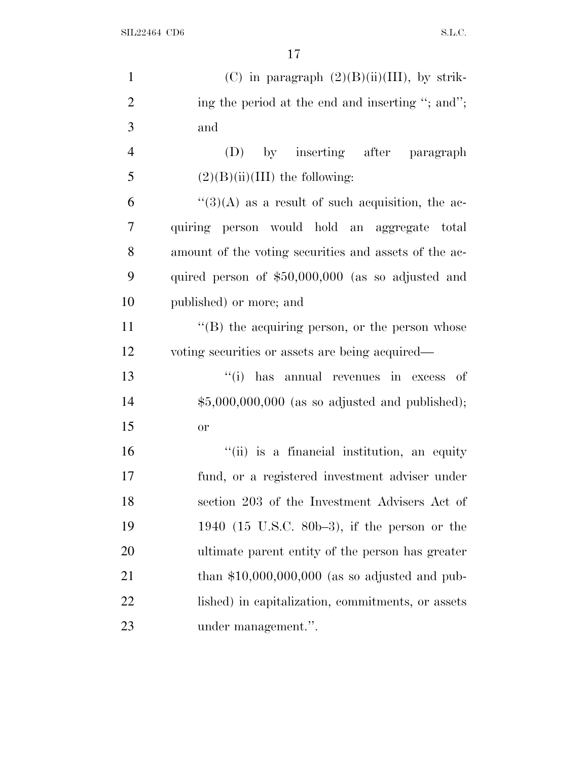| $\mathbf{1}$   | (C) in paragraph $(2)(B)(ii)(III)$ , by strik-                   |
|----------------|------------------------------------------------------------------|
| $\overline{2}$ | ing the period at the end and inserting "; and";                 |
| 3              | and                                                              |
| $\overline{4}$ | (D) by inserting after paragraph                                 |
| 5              | $(2)(B)(ii)(III)$ the following:                                 |
| 6              | $\cdot\cdot\cdot(3)(A)$ as a result of such acquisition, the ac- |
| $\overline{7}$ | quiring person would hold an aggregate total                     |
| 8              | amount of the voting securities and assets of the ac-            |
| 9              | quired person of $$50,000,000$ (as so adjusted and               |
| 10             | published) or more; and                                          |
| 11             | $\lq\lq$ the acquiring person, or the person whose               |
| 12             | voting securities or assets are being acquired—                  |
| 13             | "(i) has annual revenues in excess of                            |
| 14             | $$5,000,000,000$ (as so adjusted and published);                 |
| 15             | <b>or</b>                                                        |
| 16             | "(ii) is a financial institution, an equity                      |
| 17             | fund, or a registered investment adviser under                   |
| 18             | section 203 of the Investment Advisers Act of                    |
| 19             | 1940 (15 U.S.C. 80b-3), if the person or the                     |
| 20             | ultimate parent entity of the person has greater                 |
| 21             | than $$10,000,000,000$ (as so adjusted and pub-                  |
| 22             | lished) in capitalization, commitments, or assets                |
| 23             | under management.".                                              |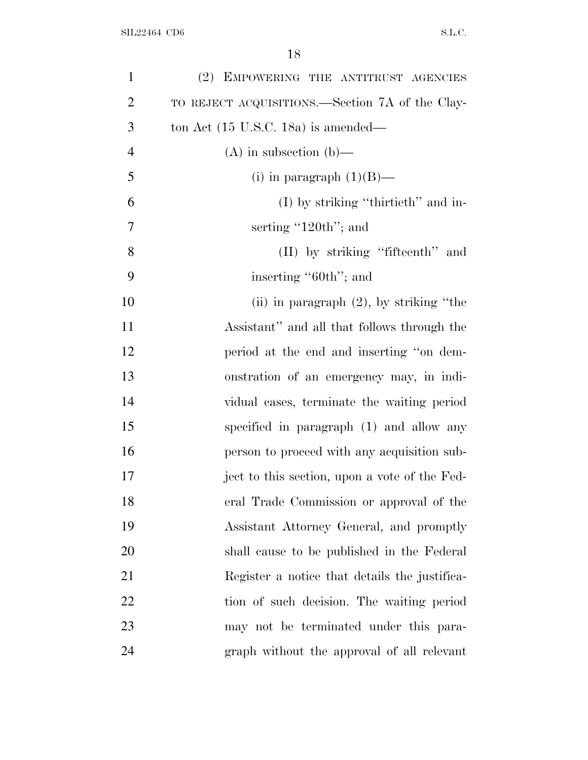| $\mathbf{1}$   | (2) EMPOWERING THE ANTITRUST AGENCIES           |
|----------------|-------------------------------------------------|
| $\overline{2}$ | TO REJECT ACQUISITIONS.—Section 7A of the Clay- |
| 3              | ton Act $(15 \text{ U.S.C. } 18a)$ is amended—  |
| $\overline{4}$ | $(A)$ in subsection $(b)$ —                     |
| 5              | (i) in paragraph $(1)(B)$ —                     |
| 6              | $(I)$ by striking "thirtieth" and in-           |
| 7              | serting $^{\prime\prime}$ 120th"; and           |
| 8              | (II) by striking "fifteenth" and                |
| 9              | inserting "60th"; and                           |
| 10             | (ii) in paragraph $(2)$ , by striking "the      |
| 11             | Assistant" and all that follows through the     |
| 12             | period at the end and inserting "on dem-        |
| 13             | onstration of an emergency may, in indi-        |
| 14             | vidual cases, terminate the waiting period      |
| 15             | specified in paragraph (1) and allow any        |
| 16             | person to proceed with any acquisition sub-     |
| 17             | ject to this section, upon a vote of the Fed-   |
| 18             | eral Trade Commission or approval of the        |
| 19             | Assistant Attorney General, and promptly        |
| 20             | shall cause to be published in the Federal      |
| 21             | Register a notice that details the justifica-   |
| 22             | tion of such decision. The waiting period       |
| 23             | may not be terminated under this para-          |
| 24             | graph without the approval of all relevant      |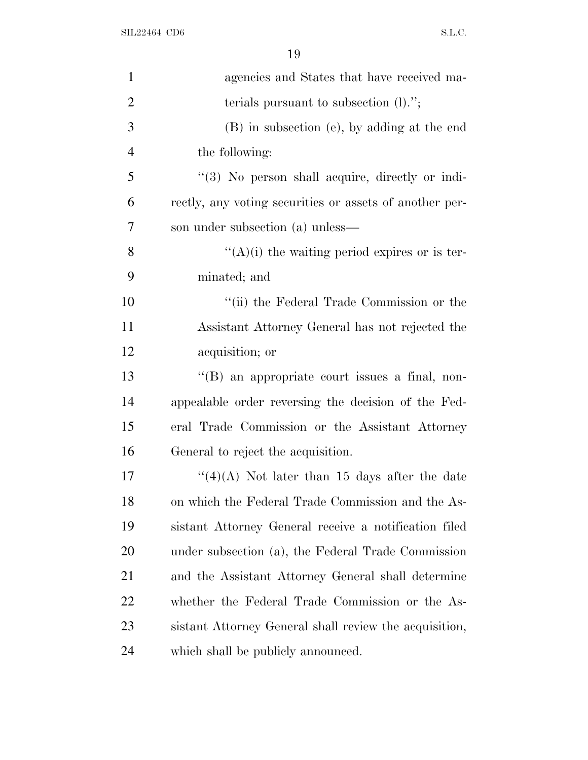| $\mathbf{1}$   | agencies and States that have received ma-              |
|----------------|---------------------------------------------------------|
| $\overline{2}$ | terials pursuant to subsection $(l)$ .";                |
| 3              | (B) in subsection (e), by adding at the end             |
| $\overline{4}$ | the following:                                          |
| 5              | $\lq(3)$ No person shall acquire, directly or indi-     |
| 6              | rectly, any voting securities or assets of another per- |
| 7              | son under subsection (a) unless—                        |
| 8              | $\lq\lq(A)(i)$ the waiting period expires or is ter-    |
| 9              | minated; and                                            |
| 10             | "(ii) the Federal Trade Commission or the               |
| 11             | Assistant Attorney General has not rejected the         |
| 12             | acquisition; or                                         |
| 13             | $\lq\lq (B)$ an appropriate court issues a final, non-  |
| 14             | appealable order reversing the decision of the Fed-     |
| 15             | eral Trade Commission or the Assistant Attorney         |
| 16             | General to reject the acquisition.                      |
| 17             | "(4)(A) Not later than 15 days after the date           |
| 18             | on which the Federal Trade Commission and the As-       |
| 19             | sistant Attorney General receive a notification filed   |
| 20             | under subsection (a), the Federal Trade Commission      |
| 21             | and the Assistant Attorney General shall determine      |
| 22             | whether the Federal Trade Commission or the As-         |
| 23             | sistant Attorney General shall review the acquisition,  |
| 24             | which shall be publicly announced.                      |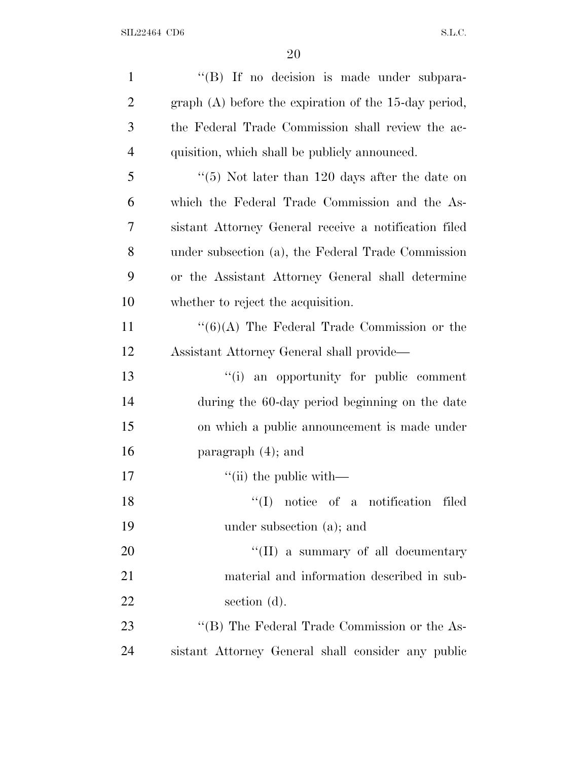| $\mathbf{1}$   | "(B) If no decision is made under subpara-              |
|----------------|---------------------------------------------------------|
| $\overline{2}$ | graph $(A)$ before the expiration of the 15-day period, |
| 3              | the Federal Trade Commission shall review the ac-       |
| $\overline{4}$ | quisition, which shall be publicly announced.           |
| 5              | " $(5)$ Not later than 120 days after the date on       |
| 6              | which the Federal Trade Commission and the As-          |
| 7              | sistant Attorney General receive a notification filed   |
| 8              | under subsection (a), the Federal Trade Commission      |
| 9              | or the Assistant Attorney General shall determine       |
| 10             | whether to reject the acquisition.                      |
| 11             | $\lq(6)(A)$ The Federal Trade Commission or the         |
| 12             | Assistant Attorney General shall provide—               |
| 13             | "(i) an opportunity for public comment                  |
| 14             | during the 60-day period beginning on the date          |
| 15             | on which a public announcement is made under            |
| 16             | paragraph $(4)$ ; and                                   |
| 17             | $\lq\lq$ (ii) the public with —                         |
| 18             | "(I) notice of a notification filed                     |
| 19             | under subsection (a); and                               |
| 20             | "(II) a summary of all documentary                      |
| 21             | material and information described in sub-              |
| 22             | section $(d)$ .                                         |
| 23             | "(B) The Federal Trade Commission or the As-            |
| 24             | sistant Attorney General shall consider any public      |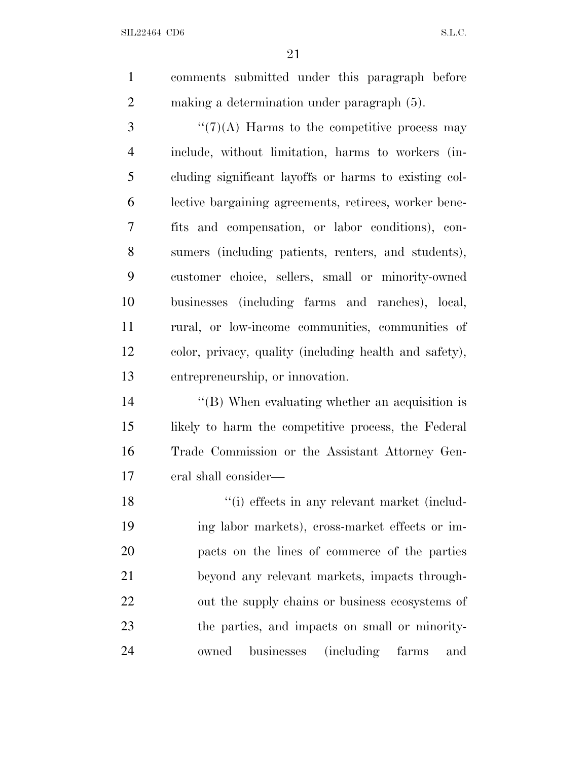comments submitted under this paragraph before making a determination under paragraph (5).

 $\mathcal{F}''(7)$ (A) Harms to the competitive process may include, without limitation, harms to workers (in- cluding significant layoffs or harms to existing col- lective bargaining agreements, retirees, worker bene- fits and compensation, or labor conditions), con- sumers (including patients, renters, and students), customer choice, sellers, small or minority-owned businesses (including farms and ranches), local, rural, or low-income communities, communities of color, privacy, quality (including health and safety), entrepreneurship, or innovation.

 ''(B) When evaluating whether an acquisition is likely to harm the competitive process, the Federal Trade Commission or the Assistant Attorney Gen-eral shall consider—

18 ''(i) effects in any relevant market (includ- ing labor markets), cross-market effects or im- pacts on the lines of commerce of the parties beyond any relevant markets, impacts through- out the supply chains or business ecosystems of the parties, and impacts on small or minority-owned businesses (including farms and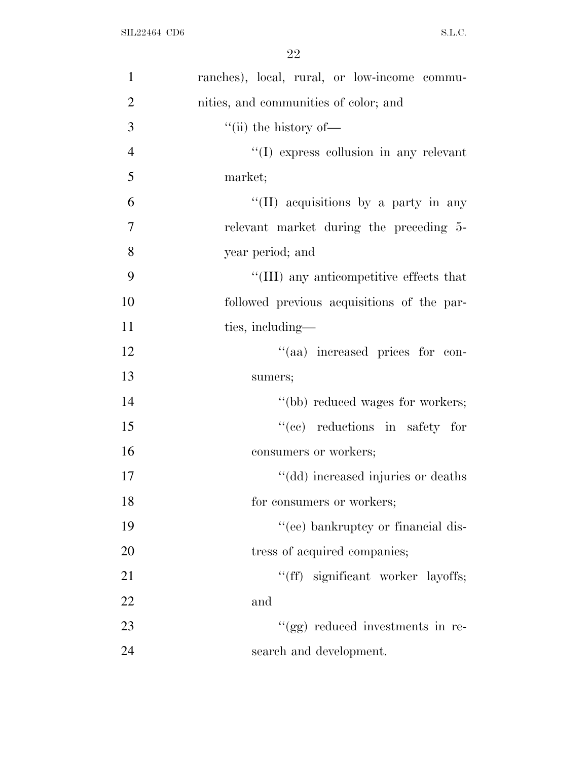| $\mathbf{1}$   | ranches), local, rural, or low-income commu- |
|----------------|----------------------------------------------|
| $\overline{2}$ | nities, and communities of color; and        |
| 3              | $\lq\lq$ (ii) the history of —               |
| $\overline{4}$ | "(I) express collusion in any relevant       |
| 5              | market;                                      |
| 6              | "(II) acquisitions by a party in any         |
| $\overline{7}$ | relevant market during the preceding 5-      |
| 8              | year period; and                             |
| 9              | "(III) any anticompetitive effects that      |
| 10             | followed previous acquisitions of the par-   |
| 11             | ties, including—                             |
| 12             | "(aa) increased prices for con-              |
| 13             | sumers;                                      |
| 14             | "(bb) reduced wages for workers;             |
| 15             | "(cc) reductions in safety for               |
| 16             | consumers or workers;                        |
| 17             | "(dd) increased injuries or deaths           |
| 18             | for consumers or workers;                    |
| 19             | "(ee) bankruptcy or financial dis-           |
| 20             | tress of acquired companies;                 |
| 21             | "(ff) significant worker layoffs;            |
| 22             | and                                          |
| 23             | "(gg) reduced investments in re-             |
| 24             | search and development.                      |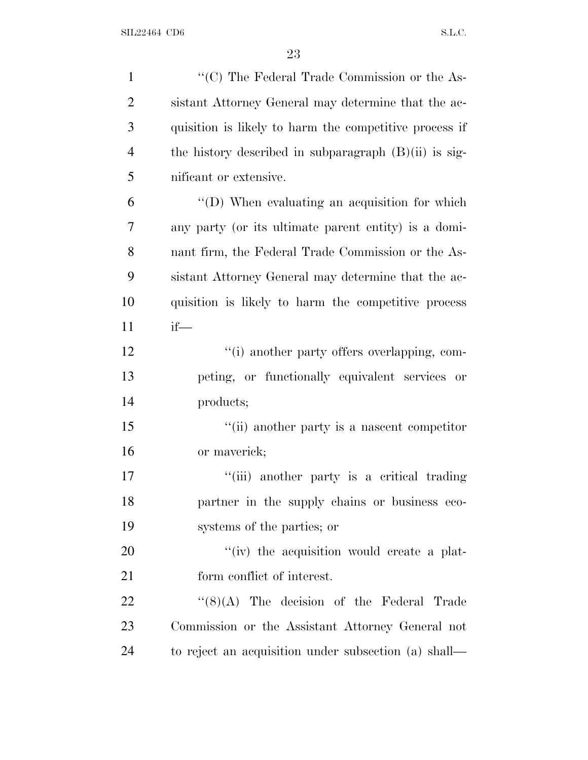| $\mathbf{1}$   | "(C) The Federal Trade Commission or the As-            |
|----------------|---------------------------------------------------------|
| $\overline{2}$ | sistant Attorney General may determine that the ac-     |
| 3              | quisition is likely to harm the competitive process if  |
| $\overline{4}$ | the history described in subparagraph $(B)(ii)$ is sig- |
| 5              | nificant or extensive.                                  |
| 6              | "(D) When evaluating an acquisition for which           |
| 7              | any party (or its ultimate parent entity) is a domi-    |
| 8              | nant firm, the Federal Trade Commission or the As-      |
| 9              | sistant Attorney General may determine that the ac-     |
| 10             | quisition is likely to harm the competitive process     |
| 11             | $if$ —                                                  |
| 12             | "(i) another party offers overlapping, com-             |
| 13             | peting, or functionally equivalent services or          |
| 14             | products;                                               |
| 15             | "(ii) another party is a nascent competitor             |
| 16             | or maverick;                                            |
| 17             | "(iii) another party is a critical trading              |
| 18             | partner in the supply chains or business eco-           |
| 19             | systems of the parties; or                              |
| 20             | "(iv) the acquisition would create a plat-              |
| 21             | form conflict of interest.                              |
| 22             | $\lq(8)(A)$ The decision of the Federal Trade           |
| 23             | Commission or the Assistant Attorney General not        |
| 24             | to reject an acquisition under subsection (a) shall—    |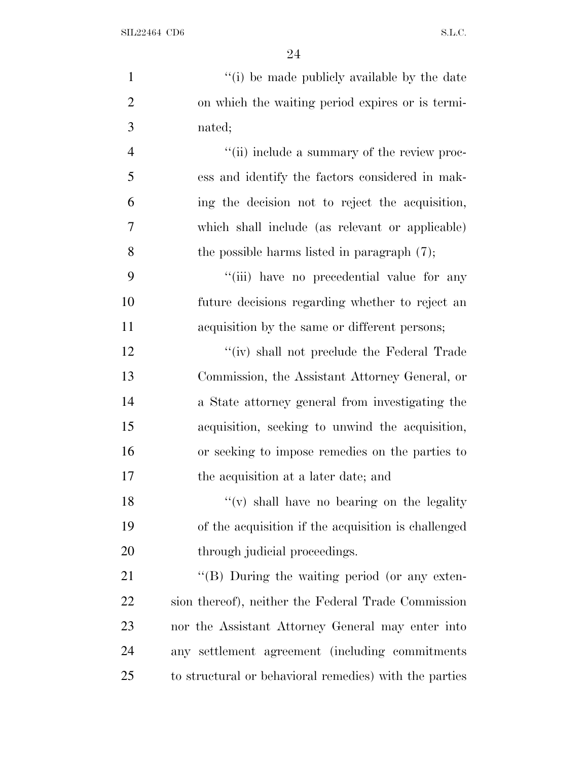| $\mathbf{1}$   | "(i) be made publicly available by the date            |
|----------------|--------------------------------------------------------|
| $\mathfrak{2}$ | on which the waiting period expires or is termi-       |
| 3              | nated;                                                 |
| $\overline{4}$ | "(ii) include a summary of the review proc-            |
| 5              | ess and identify the factors considered in mak-        |
| 6              | ing the decision not to reject the acquisition,        |
| 7              | which shall include (as relevant or applicable)        |
| 8              | the possible harms listed in paragraph $(7)$ ;         |
| 9              | "(iii) have no precedential value for any              |
| 10             | future decisions regarding whether to reject an        |
| 11             | acquisition by the same or different persons;          |
| 12             | "(iv) shall not preclude the Federal Trade             |
| 13             | Commission, the Assistant Attorney General, or         |
| 14             | a State attorney general from investigating the        |
| 15             | acquisition, seeking to unwind the acquisition,        |
| 16             | or seeking to impose remedies on the parties to        |
| 17             | the acquisition at a later date; and                   |
| 18             | "(v) shall have no bearing on the legality             |
| 19             | of the acquisition if the acquisition is challenged    |
| 20             | through judicial proceedings.                          |
| 21             | $\lq\lq (B)$ During the waiting period (or any exten-  |
| 22             | sion thereof), neither the Federal Trade Commission    |
| 23             | nor the Assistant Attorney General may enter into      |
| 24             | any settlement agreement (including commitments        |
| 25             | to structural or behavioral remedies) with the parties |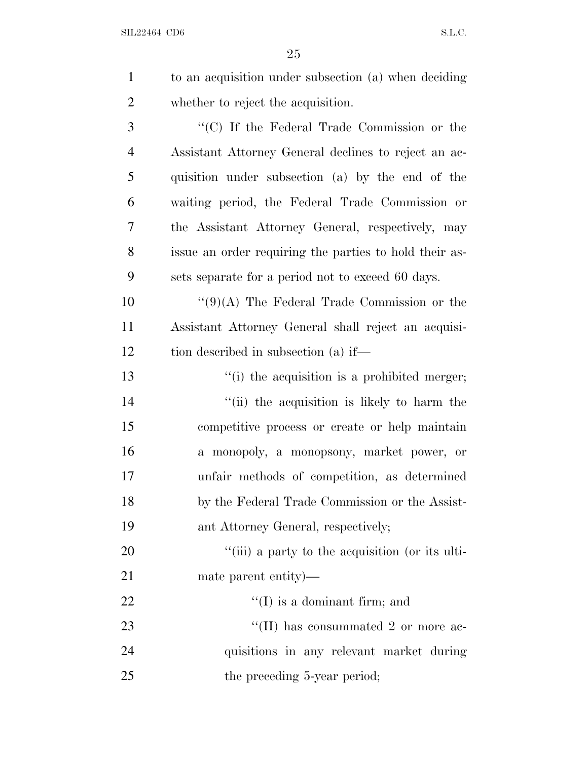| $\mathbf{1}$   | to an acquisition under subsection (a) when deciding           |
|----------------|----------------------------------------------------------------|
| $\mathfrak{2}$ | whether to reject the acquisition.                             |
| 3              | "(C) If the Federal Trade Commission or the                    |
| $\overline{4}$ | Assistant Attorney General declines to reject an ac-           |
| 5              | quisition under subsection (a) by the end of the               |
| 6              | waiting period, the Federal Trade Commission or                |
| 7              | the Assistant Attorney General, respectively, may              |
| 8              | issue an order requiring the parties to hold their as-         |
| 9              | sets separate for a period not to exceed 60 days.              |
| 10             | " $(9)(A)$ The Federal Trade Commission or the                 |
| 11             | Assistant Attorney General shall reject an acquisi-            |
| 12             | tion described in subsection (a) if—                           |
| 13             | $\lq$ <sup>"</sup> (i) the acquisition is a prohibited merger; |
| 14             | "(ii) the acquisition is likely to harm the                    |
| 15             | competitive process or create or help maintain                 |
| 16             | a monopoly, a monopsony, market power, or                      |
| 17             | unfair methods of competition, as determined                   |
| 18             | by the Federal Trade Commission or the Assist-                 |
| 19             | ant Attorney General, respectively;                            |
| 20             | "(iii) a party to the acquisition (or its ulti-                |
| 21             | mate parent entity)—                                           |
| 22             | $\lq\lq$ (I) is a dominant firm; and                           |
| 23             | "(II) has consummated 2 or more ac-                            |
| 24             | quisitions in any relevant market during                       |
| 25             | the preceding 5-year period;                                   |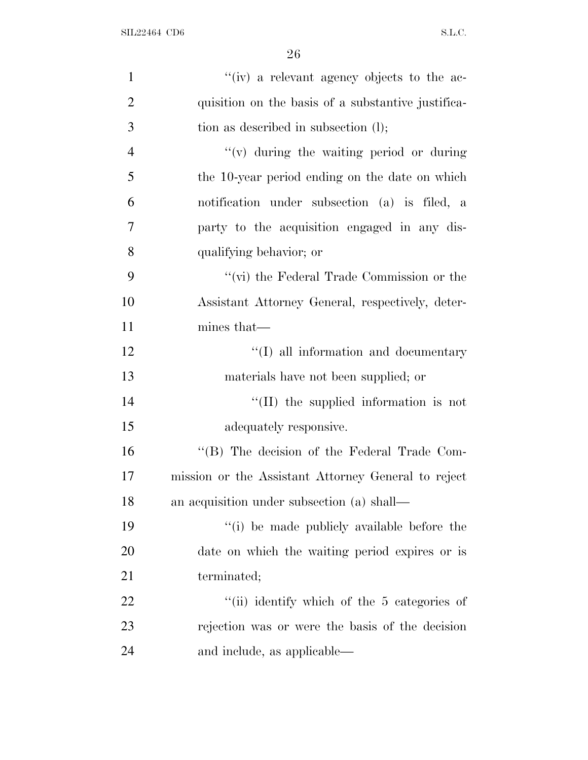| $\mathbf{1}$   | "(iv) a relevant agency objects to the ac-          |
|----------------|-----------------------------------------------------|
| $\overline{2}$ | quisition on the basis of a substantive justifica-  |
| 3              | tion as described in subsection (l);                |
| $\overline{4}$ | $f'(v)$ during the waiting period or during         |
| 5              | the 10-year period ending on the date on which      |
| 6              | notification under subsection (a) is filed, a       |
| 7              | party to the acquisition engaged in any dis-        |
| 8              | qualifying behavior; or                             |
| 9              | "(vi) the Federal Trade Commission or the           |
| 10             | Assistant Attorney General, respectively, deter-    |
| 11             | mines that—                                         |
| 12             | "(I) all information and documentary                |
| 13             | materials have not been supplied; or                |
| 14             | $\lq\lq$ (II) the supplied information is not       |
| 15             | adequately responsive.                              |
| 16             | "(B) The decision of the Federal Trade Com-         |
| 17             | mission or the Assistant Attorney General to reject |
| 18             | an acquisition under subsection (a) shall—          |
| 19             | "(i) be made publicly available before the          |
| 20             | date on which the waiting period expires or is      |
| 21             | terminated;                                         |
| 22             | "(ii) identify which of the 5 categories of         |
| 23             | rejection was or were the basis of the decision     |
| 24             | and include, as applicable—                         |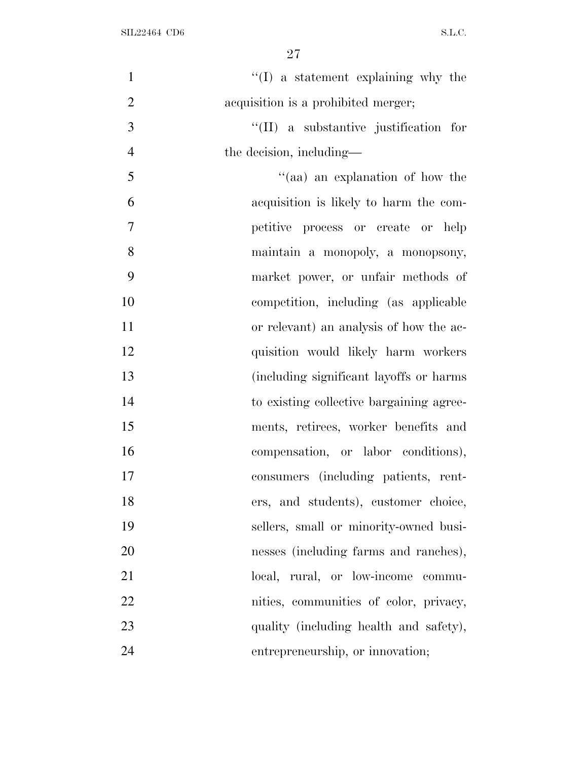| $\mathbf{1}$   | $\lq\lq$ a statement explaining why the  |
|----------------|------------------------------------------|
| $\overline{2}$ | acquisition is a prohibited merger;      |
| 3              | "(II) a substantive justification for    |
| $\overline{4}$ | the decision, including—                 |
| 5              | "(aa) an explanation of how the          |
| 6              | acquisition is likely to harm the com-   |
| 7              | petitive process or create or help       |
| 8              | maintain a monopoly, a monopsony,        |
| 9              | market power, or unfair methods of       |
| 10             | competition, including (as applicable    |
| 11             | or relevant) an analysis of how the ac-  |
| 12             | quisition would likely harm workers      |
| 13             | (including significant layoffs or harms) |
| 14             | to existing collective bargaining agree- |
| 15             | ments, retirees, worker benefits and     |
| 16             | compensation, or labor conditions),      |
| 17             | consumers (including patients, rent-     |
| 18             | ers, and students), customer choice,     |
| 19             | sellers, small or minority-owned busi-   |
| 20             | nesses (including farms and ranches),    |
| 21             | local, rural, or low-income commu-       |
| 22             | nities, communities of color, privacy,   |
| 23             | quality (including health and safety),   |
| 24             | entrepreneurship, or innovation;         |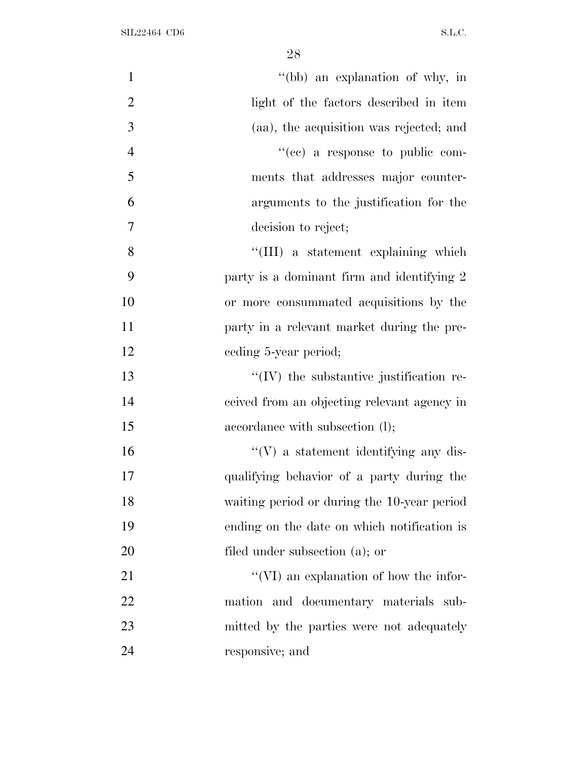| $\mathbf{1}$   | "(bb) an explanation of why, in                 |
|----------------|-------------------------------------------------|
| $\overline{2}$ | light of the factors described in item          |
| 3              | (aa), the acquisition was rejected; and         |
| $\overline{4}$ | "(cc) a response to public com-                 |
| 5              | ments that addresses major counter-             |
| 6              | arguments to the justification for the          |
| $\overline{7}$ | decision to reject;                             |
| 8              | "(III) a statement explaining which             |
| 9              | party is a dominant firm and identifying 2      |
| 10             | or more consummated acquisitions by the         |
| 11             | party in a relevant market during the pre-      |
| 12             | eeding 5-year period;                           |
| 13             | $\lq\lq$ (IV) the substantive justification re- |
| 14             | ceived from an objecting relevant agency in     |
| 15             | accordance with subsection (1);                 |
| 16             | $\lq\lq(V)$ a statement identifying any dis-    |
| 17             | qualifying behavior of a party during the       |
| 18             | waiting period or during the 10-year period     |
| 19             | ending on the date on which notification is     |
| 20             | filed under subsection (a); or                  |
| 21             | $\lq\lq$ (VI) an explanation of how the infor-  |
| 22             | mation and documentary materials sub-           |
| 23             | mitted by the parties were not adequately       |
| 24             | responsive; and                                 |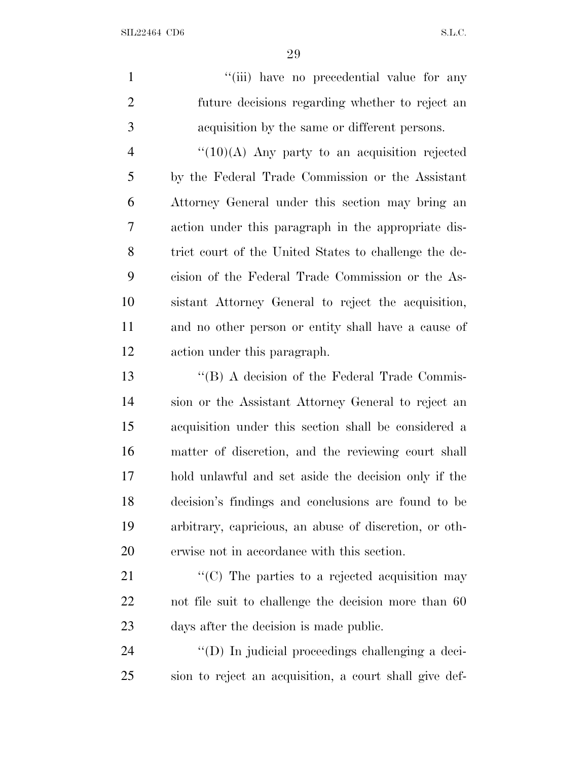1 ''(iii) have no precedential value for any future decisions regarding whether to reject an acquisition by the same or different persons.

 $\frac{4}{(10)(\text{A})}$  Any party to an acquisition rejected by the Federal Trade Commission or the Assistant Attorney General under this section may bring an action under this paragraph in the appropriate dis- trict court of the United States to challenge the de- cision of the Federal Trade Commission or the As- sistant Attorney General to reject the acquisition, and no other person or entity shall have a cause of action under this paragraph.

13 ''(B) A decision of the Federal Trade Commis- sion or the Assistant Attorney General to reject an acquisition under this section shall be considered a matter of discretion, and the reviewing court shall hold unlawful and set aside the decision only if the decision's findings and conclusions are found to be arbitrary, capricious, an abuse of discretion, or oth-erwise not in accordance with this section.

21  $\langle ^{\prime}(C) \rangle$  The parties to a rejected acquisition may not file suit to challenge the decision more than 60 days after the decision is made public.

 ''(D) In judicial proceedings challenging a deci-sion to reject an acquisition, a court shall give def-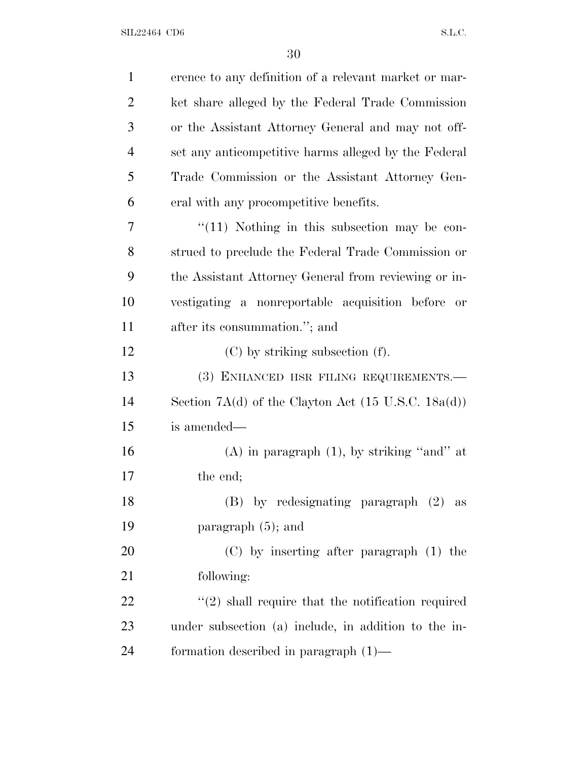| $\mathbf{1}$   | erence to any definition of a relevant market or mar-            |
|----------------|------------------------------------------------------------------|
| $\overline{2}$ | ket share alleged by the Federal Trade Commission                |
| 3              | or the Assistant Attorney General and may not off-               |
| $\overline{4}$ | set any anticompetitive harms alleged by the Federal             |
| 5              | Trade Commission or the Assistant Attorney Gen-                  |
| 6              | eral with any procompetitive benefits.                           |
| 7              | $\lq(11)$ Nothing in this subsection may be con-                 |
| 8              | strued to preclude the Federal Trade Commission or               |
| 9              | the Assistant Attorney General from reviewing or in-             |
| 10             | vestigating a nonreportable acquisition before<br>or             |
| 11             | after its consummation."; and                                    |
| 12             | $(C)$ by striking subsection $(f)$ .                             |
| 13             | (3) ENHANCED HSR FILING REQUIREMENTS.—                           |
| 14             | Section $7A(d)$ of the Clayton Act $(15 \text{ U.S.C. } 18a(d))$ |
| 15             | is amended—                                                      |
| 16             | $(A)$ in paragraph $(1)$ , by striking "and" at                  |
| 17             | the end;                                                         |
| 18             | (B) by redesignating paragraph (2) as                            |
| 19             | paragraph $(5)$ ; and                                            |
| 20             | $(C)$ by inserting after paragraph $(1)$ the                     |
| 21             | following:                                                       |
| 22             | $\lq(2)$ shall require that the notification required            |
| 23             | under subsection (a) include, in addition to the in-             |
| 24             | formation described in paragraph $(1)$ —                         |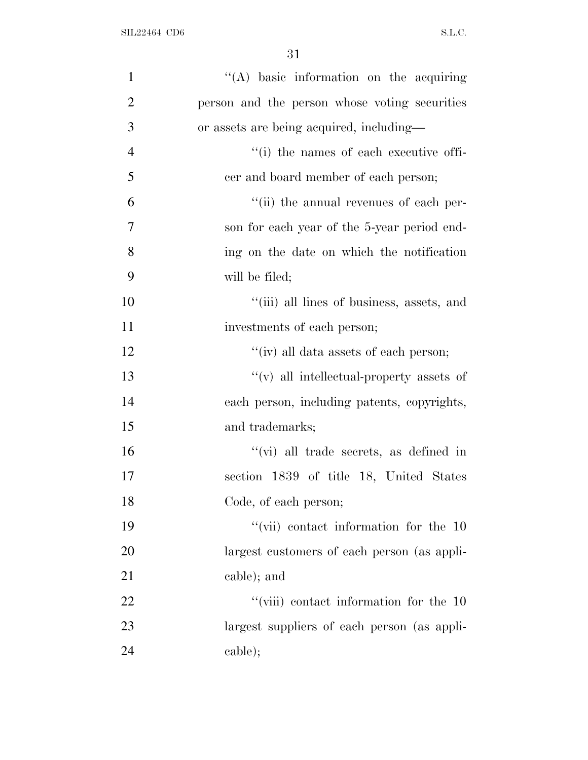| $\mathbf{1}$   | "(A) basic information on the acquiring        |
|----------------|------------------------------------------------|
| $\overline{2}$ | person and the person whose voting securities  |
| 3              | or assets are being acquired, including—       |
| $\overline{4}$ | "(i) the names of each executive offi-         |
| 5              | cer and board member of each person;           |
| 6              | "(ii) the annual revenues of each per-         |
| $\overline{7}$ | son for each year of the 5-year period end-    |
| 8              | ing on the date on which the notification      |
| 9              | will be filed;                                 |
| 10             | "(iii) all lines of business, assets, and      |
| 11             | investments of each person;                    |
| 12             | "(iv) all data assets of each person;          |
| 13             | $f'(v)$ all intellectual-property assets of    |
| 14             | each person, including patents, copyrights,    |
| 15             | and trademarks;                                |
| 16             | $\lq\lq$ (vi) all trade secrets, as defined in |
| 17             | section 1839 of title 18, United States        |
| 18             | Code, of each person;                          |
| 19             | $\lq\lq$ (vii) contact information for the 10  |
| 20             | largest customers of each person (as appli-    |
| 21             | cable); and                                    |
| 22             | $``(viii)$ contact information for the 10      |
| 23             | largest suppliers of each person (as appli-    |
| 24             | cable);                                        |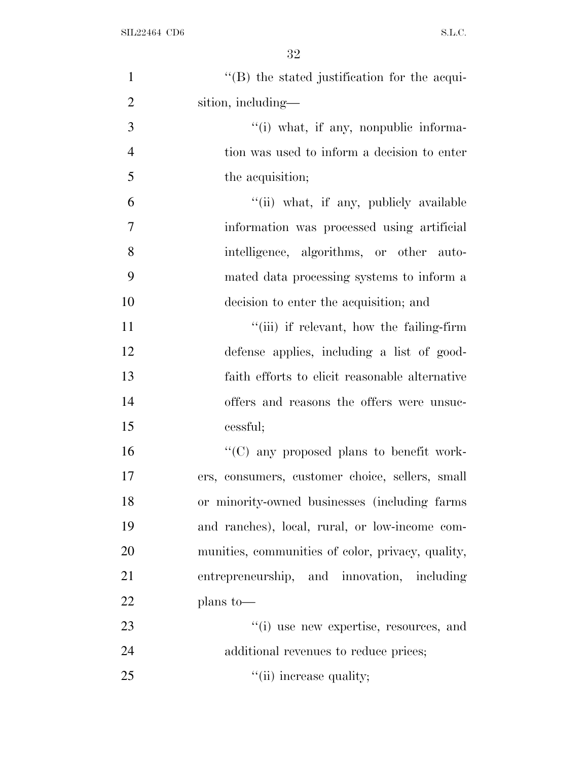| $\mathbf{1}$   | $\lq\lq$ (B) the stated justification for the acqui- |
|----------------|------------------------------------------------------|
| $\overline{2}$ | sition, including—                                   |
| 3              | "(i) what, if any, nonpublic informa-                |
| $\overline{4}$ | tion was used to inform a decision to enter          |
| 5              | the acquisition;                                     |
| 6              | "(ii) what, if any, publicly available               |
| $\overline{7}$ | information was processed using artificial           |
| 8              | intelligence, algorithms, or other auto-             |
| 9              | mated data processing systems to inform a            |
| 10             | decision to enter the acquisition; and               |
| 11             | "(iii) if relevant, how the failing-firm             |
| 12             | defense applies, including a list of good-           |
| 13             | faith efforts to elicit reasonable alternative       |
| 14             | offers and reasons the offers were unsuc-            |
| 15             | cessful;                                             |
| 16             | "(C) any proposed plans to benefit work-             |
| 17             | ers, consumers, customer choice, sellers, small      |
| 18             | or minority-owned businesses (including farms)       |
| 19             | and ranches), local, rural, or low-income com-       |
| 20             | munities, communities of color, privacy, quality,    |
| 21             | entrepreneurship, and innovation, including          |
| 22             | plans to-                                            |
| 23             | "(i) use new expertise, resources, and               |
| 24             | additional revenues to reduce prices;                |
| 25             | "(ii) increase quality;                              |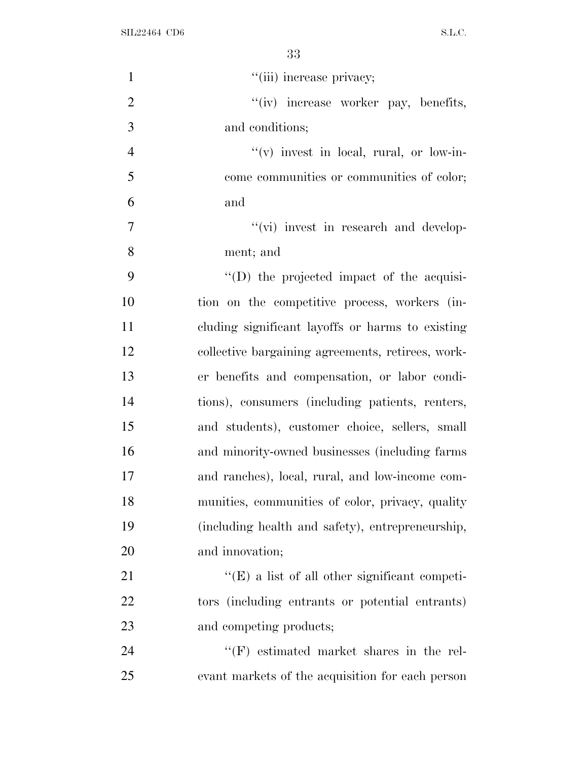| $\mathbf{1}$   | "(iii) increase privacy;                             |
|----------------|------------------------------------------------------|
| $\overline{2}$ | "(iv) increase worker pay, benefits,                 |
| 3              | and conditions;                                      |
| $\overline{4}$ | $f'(v)$ invest in local, rural, or low-in-           |
| 5              | come communities or communities of color;            |
| 6              | and                                                  |
| $\overline{7}$ | "(vi) invest in research and develop-                |
| 8              | ment; and                                            |
| 9              | $\lq\lq$ the projected impact of the acquisi-        |
| 10             | tion on the competitive process, workers (in-        |
| 11             | cluding significant layoffs or harms to existing     |
| 12             | collective bargaining agreements, retirees, work-    |
| 13             | er benefits and compensation, or labor condi-        |
| 14             | tions), consumers (including patients, renters,      |
| 15             | and students), customer choice, sellers, small       |
| 16             | and minority-owned businesses (including farms)      |
| 17             | and ranches), local, rural, and low-income com-      |
| 18             | munities, communities of color, privacy, quality     |
| 19             | (including health and safety), entrepreneurship,     |
| 20             | and innovation;                                      |
| 21             | $\lq\lq(E)$ a list of all other significant competi- |
| 22             | tors (including entrants or potential entrants)      |
| 23             | and competing products;                              |
| 24             | $\lq\lq(F)$ estimated market shares in the rel-      |
| 25             | evant markets of the acquisition for each person     |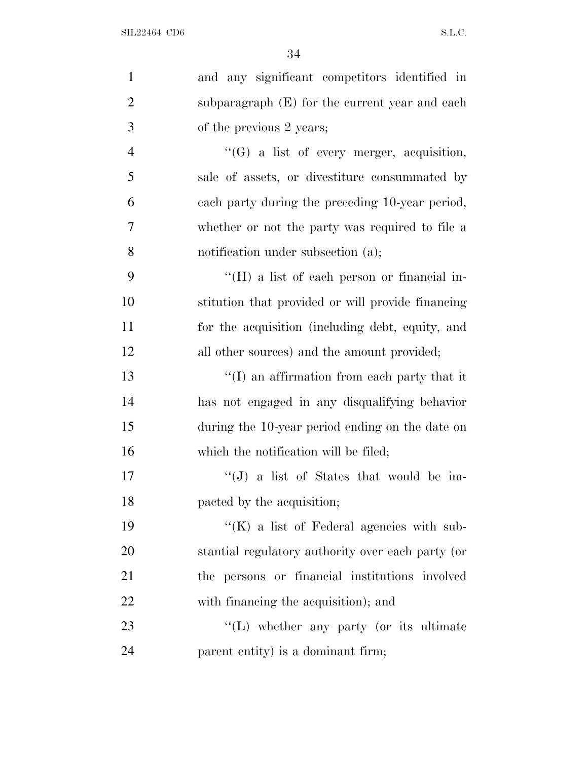| $\mathbf{1}$   | and any significant competitors identified in       |
|----------------|-----------------------------------------------------|
| $\overline{2}$ | subparagraph $(E)$ for the current year and each    |
| 3              | of the previous 2 years;                            |
| $\overline{4}$ | $\lq\lq(G)$ a list of every merger, acquisition,    |
| 5              | sale of assets, or divestiture consummated by       |
| 6              | each party during the preceding 10-year period,     |
| 7              | whether or not the party was required to file a     |
| 8              | notification under subsection (a);                  |
| 9              | $\rm{``(H)}$ a list of each person or financial in- |
| 10             | stitution that provided or will provide financing   |
| 11             | for the acquisition (including debt, equity, and    |
| 12             | all other sources) and the amount provided;         |
| 13             | $\lq\lq$ an affirmation from each party that it     |
| 14             | has not engaged in any disqualifying behavior       |
| 15             | during the 10-year period ending on the date on     |
| 16             | which the notification will be filed;               |
| 17             | "(J) a list of States that would be im-             |
| 18             | pacted by the acquisition;                          |
| 19             | $\lq\lq(K)$ a list of Federal agencies with sub-    |
| <b>20</b>      | stantial regulatory authority over each party (or   |
| 21             | the persons or financial institutions involved      |
| 22             | with financing the acquisition); and                |
| 23             | "(L) whether any party (or its ultimate             |
| 24             | parent entity) is a dominant firm;                  |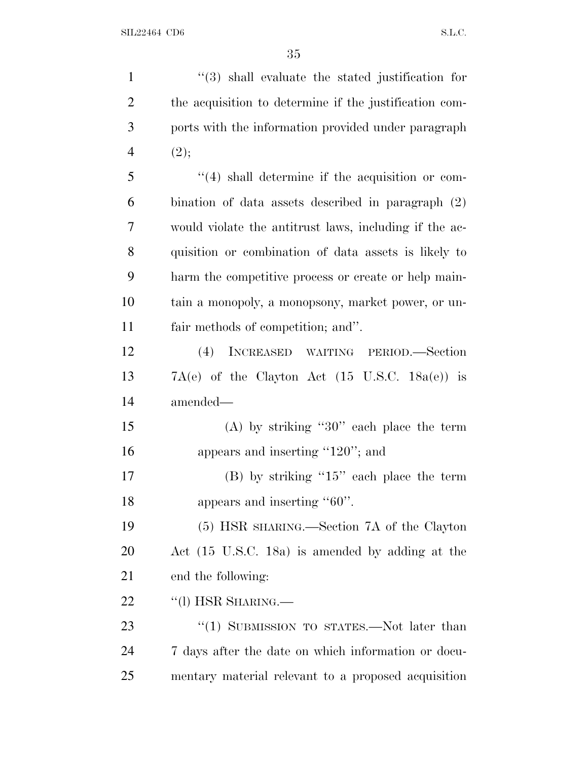| $\mathbf{1}$   | $(3)$ shall evaluate the stated justification for           |
|----------------|-------------------------------------------------------------|
| $\overline{2}$ | the acquisition to determine if the justification com-      |
| 3              | ports with the information provided under paragraph         |
| $\overline{4}$ | (2);                                                        |
| 5              | $\lq(4)$ shall determine if the acquisition or com-         |
| 6              | bination of data assets described in paragraph $(2)$        |
| 7              | would violate the antitrust laws, including if the ac-      |
| 8              | quisition or combination of data assets is likely to        |
| 9              | harm the competitive process or create or help main-        |
| 10             | tain a monopoly, a monopsony, market power, or un-          |
| 11             | fair methods of competition; and".                          |
| 12             | (4) INCREASED WAITING PERIOD.-Section                       |
| 13             | $7A(e)$ of the Clayton Act $(15 \text{ U.S.C. } 18a(e))$ is |
| 14             | amended—                                                    |
| 15             | (A) by striking "30" each place the term                    |
| 16             | appears and inserting " $120$ "; and                        |
| 17             | $(B)$ by striking "15" each place the term                  |
| 18             | appears and inserting "60".                                 |
| 19             | (5) HSR SHARING.—Section 7A of the Clayton                  |
| 20             | Act (15 U.S.C. 18a) is amended by adding at the             |
| 21             | end the following:                                          |
| 22             | "(1) HSR SHARING.—                                          |
| 23             | "(1) SUBMISSION TO STATES.—Not later than                   |
| 24             | 7 days after the date on which information or docu-         |
| 25             | mentary material relevant to a proposed acquisition         |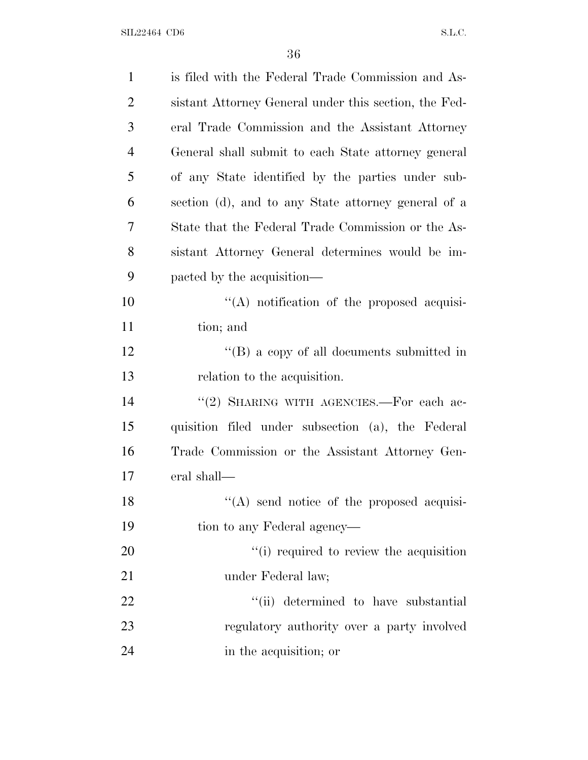| $\mathbf{1}$   | is filed with the Federal Trade Commission and As-    |
|----------------|-------------------------------------------------------|
| $\overline{2}$ | sistant Attorney General under this section, the Fed- |
| 3              | eral Trade Commission and the Assistant Attorney      |
| $\overline{4}$ | General shall submit to each State attorney general   |
| 5              | of any State identified by the parties under sub-     |
| 6              | section (d), and to any State attorney general of a   |
| 7              | State that the Federal Trade Commission or the As-    |
| 8              | sistant Attorney General determines would be im-      |
| 9              | pacted by the acquisition—                            |
| 10             | $\lq\lq$ notification of the proposed acquisi-        |
| 11             | tion; and                                             |
| 12             | $\lq\lq (B)$ a copy of all documents submitted in     |
| 13             | relation to the acquisition.                          |
| 14             | "(2) SHARING WITH AGENCIES.—For each ac-              |
| 15             | quisition filed under subsection (a), the Federal     |
| 16             | Trade Commission or the Assistant Attorney Gen-       |
| 17             | eral shall—                                           |
| 18             | "(A) send notice of the proposed acquisi-             |
| 19             | tion to any Federal agency—                           |
| 20             | "(i) required to review the acquisition               |
| 21             | under Federal law;                                    |
| 22             | "(ii) determined to have substantial                  |
| 23             | regulatory authority over a party involved            |
| 24             | in the acquisition; or                                |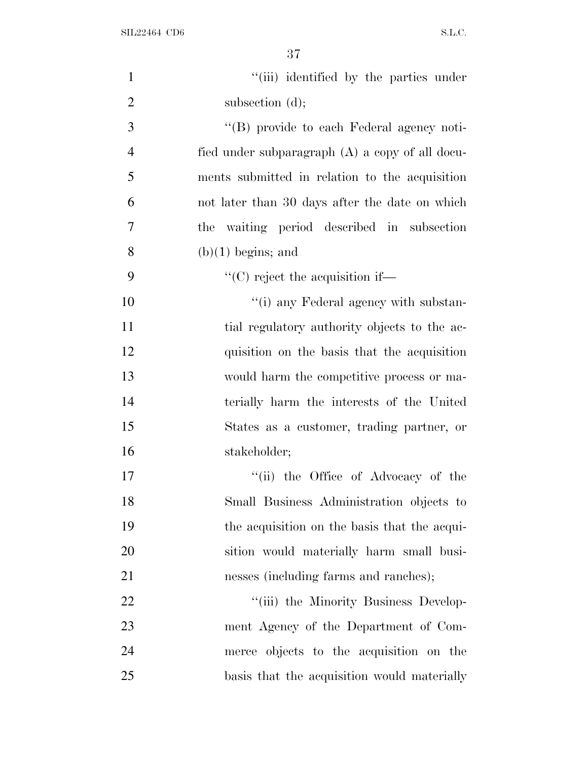| $\mathbf{1}$   | "(iii) identified by the parties under               |
|----------------|------------------------------------------------------|
| $\overline{2}$ | subsection $(d)$ ;                                   |
| 3              | "(B) provide to each Federal agency noti-            |
| $\overline{4}$ | fied under subparagraph (A) a copy of all docu-      |
| 5              | ments submitted in relation to the acquisition       |
| 6              | not later than 30 days after the date on which       |
| 7              | the waiting period described in subsection           |
| 8              | $(b)(1)$ begins; and                                 |
| 9              | $\lq\lq$ <sup>"</sup> (C) reject the acquisition if— |
| 10             | "(i) any Federal agency with substan-                |
| 11             | tial regulatory authority objects to the ac-         |
| 12             | quisition on the basis that the acquisition          |
| 13             | would harm the competitive process or ma-            |
| 14             | terially harm the interests of the United            |
| 15             | States as a customer, trading partner, or            |
| 16             | stakeholder;                                         |
| 17             | "(ii) the Office of Advocacy of the                  |
| 18             | Small Business Administration objects to             |
| 19             | the acquisition on the basis that the acqui-         |
| 20             | sition would materially harm small busi-             |
| 21             | nesses (including farms and ranches);                |
| 22             | "(iii) the Minority Business Develop-                |
| 23             | ment Agency of the Department of Com-                |
| 24             | merce objects to the acquisition on the              |
| 25             | basis that the acquisition would materially          |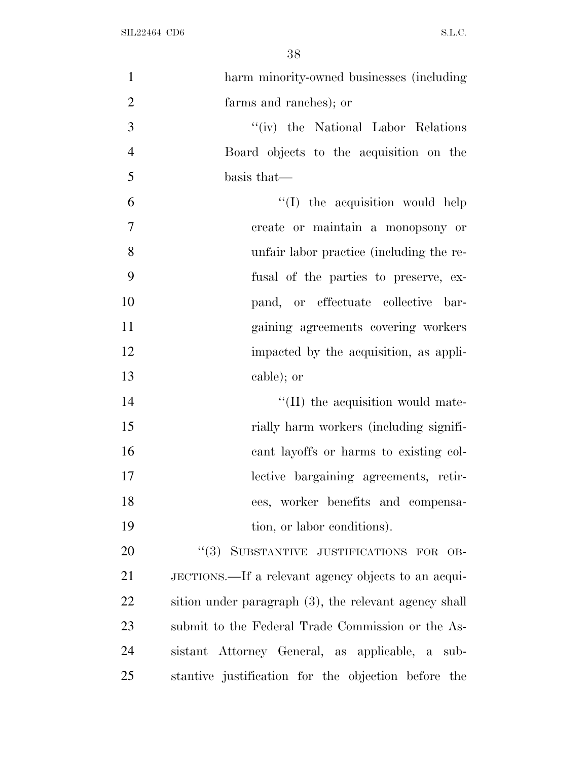| $\mathbf{1}$   | harm minority-owned businesses (including             |
|----------------|-------------------------------------------------------|
| $\overline{2}$ | farms and ranches); or                                |
| 3              | "(iv) the National Labor Relations                    |
| $\overline{4}$ | Board objects to the acquisition on the               |
| 5              | basis that—                                           |
| 6              | $\lq\lq$ (I) the acquisition would help               |
| $\tau$         | create or maintain a monopsony or                     |
| 8              | unfair labor practice (including the re-              |
| 9              | fusal of the parties to preserve, ex-                 |
| 10             | pand, or effectuate collective bar-                   |
| 11             | gaining agreements covering workers                   |
| 12             | impacted by the acquisition, as appli-                |
| 13             | cable); or                                            |
| 14             | "(II) the acquisition would mate-                     |
| 15             | rially harm workers (including signifi-               |
| 16             | cant layoffs or harms to existing col-                |
| 17             | lective bargaining agreements, retir-                 |
| 18             | ees, worker benefits and compensa-                    |
| 19             | tion, or labor conditions).                           |
| 20             | "(3) SUBSTANTIVE JUSTIFICATIONS FOR OB-               |
| 21             | JECTIONS.—If a relevant agency objects to an acqui-   |
| 22             | sition under paragraph (3), the relevant agency shall |
| 23             | submit to the Federal Trade Commission or the As-     |
| 24             | sistant Attorney General, as applicable, a sub-       |
| 25             | stantive justification for the objection before the   |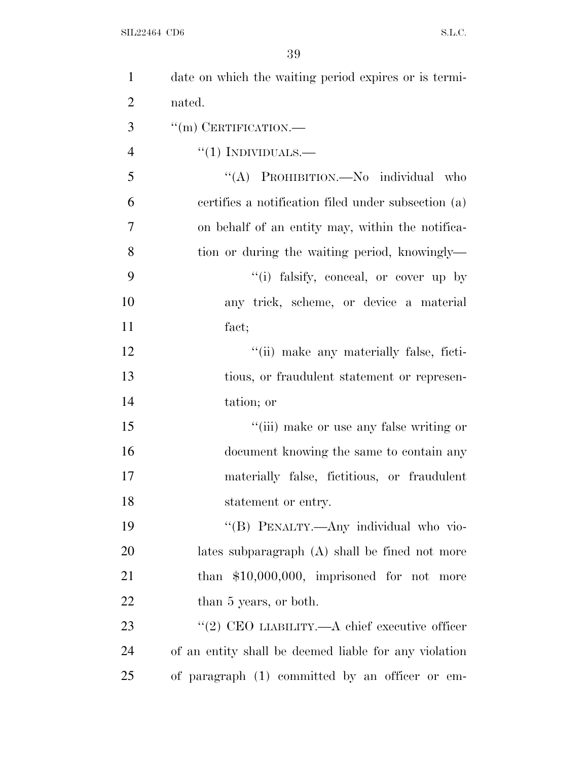| $\mathbf{1}$   | date on which the waiting period expires or is termi- |
|----------------|-------------------------------------------------------|
| $\overline{2}$ | nated.                                                |
| 3              | $\lq\lq$ (m) CERTIFICATION.—                          |
| $\overline{4}$ | $``(1)$ INDIVIDUALS.—                                 |
| 5              | "(A) PROHIBITION.—No individual who                   |
| 6              | certifies a notification filed under subsection (a)   |
| 7              | on behalf of an entity may, within the notifica-      |
| 8              | tion or during the waiting period, knowingly—         |
| 9              | "(i) falsify, conceal, or cover up by                 |
| 10             | any trick, scheme, or device a material               |
| 11             | fact;                                                 |
| 12             | "(ii) make any materially false, ficti-               |
| 13             | tious, or fraudulent statement or represen-           |
| 14             | tation; or                                            |
| 15             | "(iii) make or use any false writing or               |
| 16             | document knowing the same to contain any              |
| 17             | materially false, fictitious, or fraudulent           |
| 18             | statement or entry.                                   |
| 19             | "(B) PENALTY.—Any individual who vio-                 |
| 20             | lates subparagraph (A) shall be fined not more        |
| 21             | than $$10,000,000$ , imprisoned for not more          |
| 22             | than 5 years, or both.                                |
| 23             | "(2) CEO LIABILITY.—A chief executive officer         |
| 24             | of an entity shall be deemed liable for any violation |
| 25             | of paragraph (1) committed by an officer or em-       |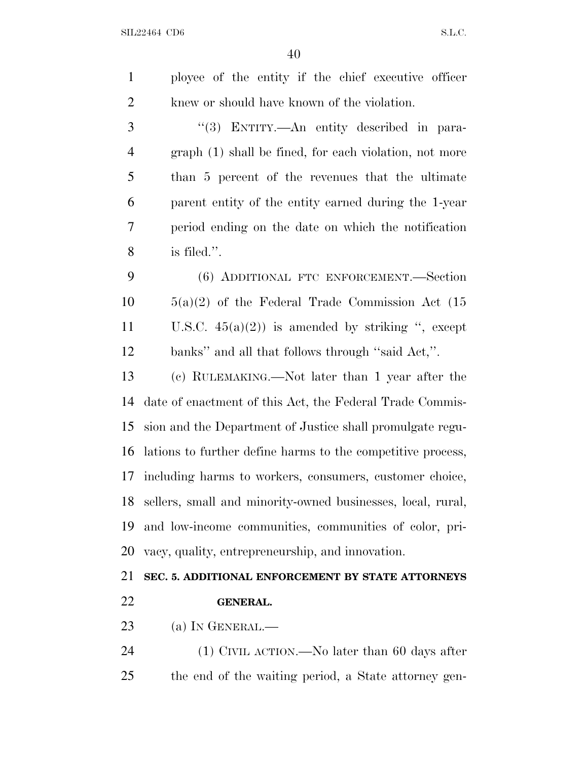$40<sup>1</sup>$ 

|                | ΨU                                                          |
|----------------|-------------------------------------------------------------|
| $\mathbf{1}$   | ployee of the entity if the chief executive officer         |
| 2              | knew or should have known of the violation.                 |
| 3              | "(3) ENTITY.—An entity described in para-                   |
| $\overline{4}$ | graph (1) shall be fined, for each violation, not more      |
| 5              | than 5 percent of the revenues that the ultimate            |
| 6              | parent entity of the entity earned during the 1-year        |
| 7              | period ending on the date on which the notification         |
| 8              | is filed.".                                                 |
| 9              | (6) ADDITIONAL FTC ENFORCEMENT.—Section                     |
| 10             | $5(a)(2)$ of the Federal Trade Commission Act (15           |
| 11             | U.S.C. $45(a)(2)$ is amended by striking ", except          |
| 12             | banks" and all that follows through "said Act,".            |
| 13             | (c) RULEMAKING.—Not later than 1 year after the             |
| 14             | date of enactment of this Act, the Federal Trade Commis-    |
| 15             | sion and the Department of Justice shall promulgate regu-   |
| 16             | lations to further define harms to the competitive process, |
| 17             | including harms to workers, consumers, customer choice,     |
| 18             | sellers, small and minority-owned businesses, local, rural, |
| 19             | and low-income communities, communities of color, pri-      |
| 20             | vacy, quality, entrepreneurship, and innovation.            |
| 21             | SEC. 5. ADDITIONAL ENFORCEMENT BY STATE ATTORNEYS           |
| 22             | <b>GENERAL.</b>                                             |
| 23             | (a) IN GENERAL.-                                            |
| 24             | $(1)$ CIVIL ACTION.—No later than 60 days after             |

the end of the waiting period, a State attorney gen-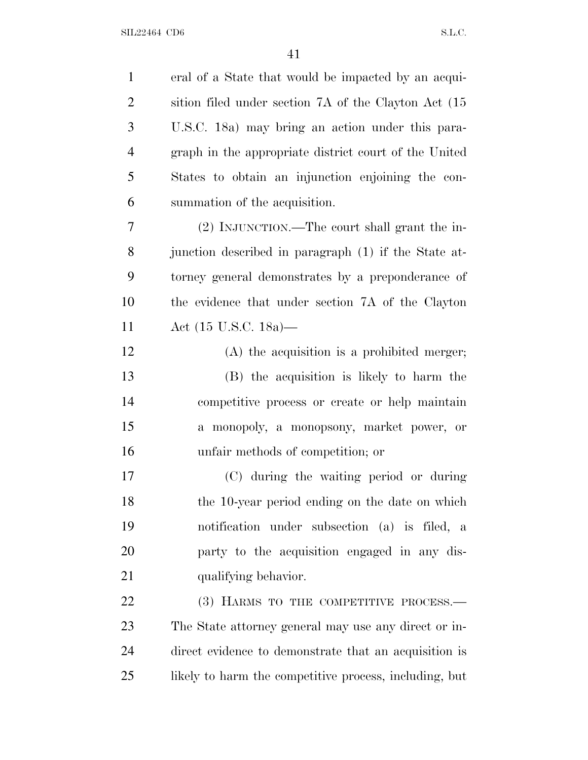| $\mathbf{1}$   | eral of a State that would be impacted by an acqui-    |
|----------------|--------------------------------------------------------|
| $\overline{2}$ | sition filed under section 7A of the Clayton Act (15)  |
| 3              | U.S.C. 18a) may bring an action under this para-       |
| $\overline{4}$ | graph in the appropriate district court of the United  |
| 5              | States to obtain an injunction enjoining the con-      |
| 6              | summation of the acquisition.                          |
| 7              | (2) INJUNCTION.—The court shall grant the in-          |
| 8              | junction described in paragraph (1) if the State at-   |
| 9              | torney general demonstrates by a preponderance of      |
| 10             | the evidence that under section 7A of the Clayton      |
| 11             | Act $(15 \text{ U.S.C. } 18a)$ —                       |
| 12             | $(A)$ the acquisition is a prohibited merger;          |
| 13             | (B) the acquisition is likely to harm the              |
| 14             | competitive process or create or help maintain         |
| 15             | a monopoly, a monopsony, market power, or              |
| 16             | unfair methods of competition; or                      |
| 17             | (C) during the waiting period or during                |
| 18             | the 10-year period ending on the date on which         |
| 19             | notification under subsection (a) is filed, a          |
| 20             | party to the acquisition engaged in any dis-           |
| 21             | qualifying behavior.                                   |
| 22             | (3) HARMS TO THE COMPETITIVE PROCESS.-                 |
| 23             | The State attorney general may use any direct or in-   |
| 24             | direct evidence to demonstrate that an acquisition is  |
| 25             | likely to harm the competitive process, including, but |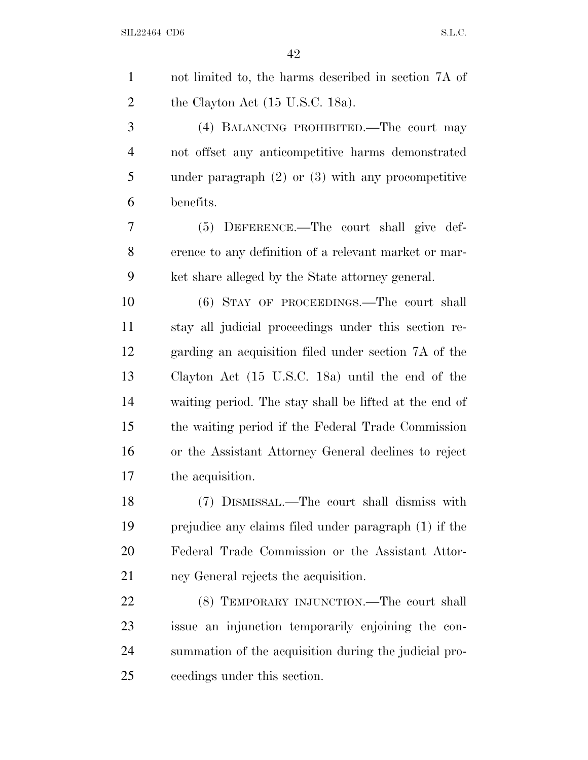| $\mathbf{1}$   | not limited to, the harms described in section 7A of   |
|----------------|--------------------------------------------------------|
| $\overline{2}$ | the Clayton Act $(15 \text{ U.S.C. } 18a)$ .           |
| 3              | (4) BALANCING PROHIBITED.—The court may                |
| $\overline{4}$ | not offset any anticompetitive harms demonstrated      |
| 5              | under paragraph $(2)$ or $(3)$ with any procompetitive |
| 6              | benefits.                                              |
| 7              | (5) DEFERENCE.—The court shall give def-               |
| 8              | erence to any definition of a relevant market or mar-  |
| 9              | ket share alleged by the State attorney general.       |
| 10             | (6) STAY OF PROCEEDINGS.—The court shall               |
| 11             | stay all judicial proceedings under this section re-   |
| 12             | garding an acquisition filed under section 7A of the   |
| 13             | Clayton Act (15 U.S.C. 18a) until the end of the       |
| 14             | waiting period. The stay shall be lifted at the end of |
| 15             | the waiting period if the Federal Trade Commission     |
| 16             | or the Assistant Attorney General declines to reject   |
| 17             | the acquisition.                                       |
| 18             | (7) DISMISSAL.—The court shall dismiss with            |
| 19             | prejudice any claims filed under paragraph (1) if the  |
| 20             | Federal Trade Commission or the Assistant Attor-       |
| 21             | ney General rejects the acquisition.                   |
| 22             | (8) TEMPORARY INJUNCTION.—The court shall              |
| 23             | issue an injunction temporarily enjoining the con-     |
| 24             | summation of the acquisition during the judicial pro-  |
| 25             | ceedings under this section.                           |
|                |                                                        |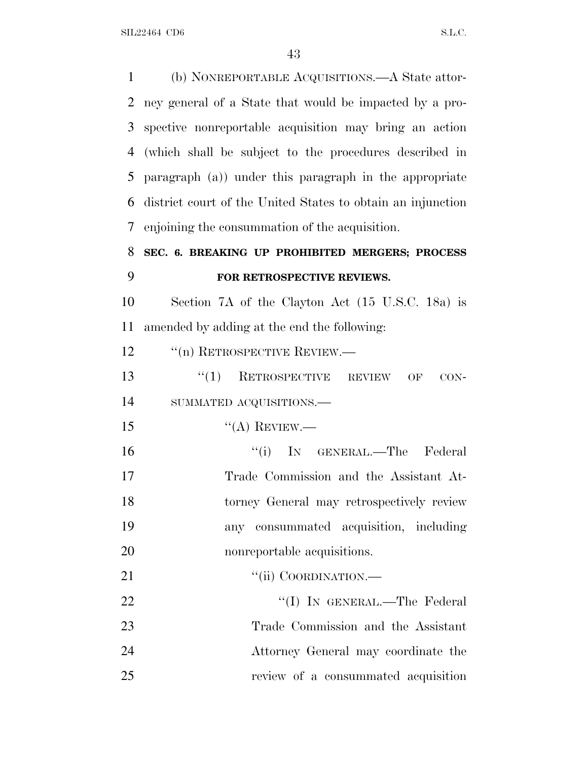(b) NONREPORTABLE ACQUISITIONS.—A State attor- ney general of a State that would be impacted by a pro- spective nonreportable acquisition may bring an action (which shall be subject to the procedures described in paragraph (a)) under this paragraph in the appropriate district court of the United States to obtain an injunction enjoining the consummation of the acquisition. **SEC. 6. BREAKING UP PROHIBITED MERGERS; PROCESS FOR RETROSPECTIVE REVIEWS.** Section 7A of the Clayton Act (15 U.S.C. 18a) is amended by adding at the end the following: 12 <sup>"</sup>(n) RETROSPECTIVE REVIEW.— 13 "(1) RETROSPECTIVE REVIEW OF CON- SUMMATED ACQUISITIONS.—  $"({\rm A})$  REVIEW.— 16 ''(i) IN GENERAL.—The Federal Trade Commission and the Assistant At- torney General may retrospectively review any consummated acquisition, including nonreportable acquisitions. 21 "'(ii) COORDINATION.— 22 ''(I) IN GENERAL.—The Federal Trade Commission and the Assistant Attorney General may coordinate the

review of a consummated acquisition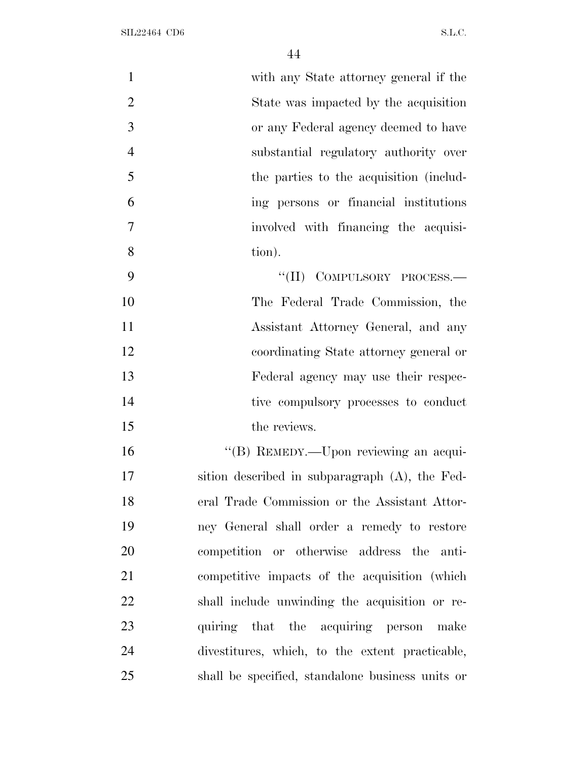| $\mathbf{1}$   | with any State attorney general if the           |
|----------------|--------------------------------------------------|
| $\overline{2}$ | State was impacted by the acquisition            |
| 3              | or any Federal agency deemed to have             |
| $\overline{4}$ | substantial regulatory authority over            |
| 5              | the parties to the acquisition (includ-          |
| 6              | ing persons or financial institutions            |
| $\overline{7}$ | involved with financing the acquisi-             |
| 8              | tion).                                           |
| 9              | "(II) COMPULSORY PROCESS.-                       |
| 10             | The Federal Trade Commission, the                |
| 11             | Assistant Attorney General, and any              |
| 12             | coordinating State attorney general or           |
| 13             | Federal agency may use their respec-             |
| 14             | tive compulsory processes to conduct             |
| 15             | the reviews.                                     |
| 16             | "(B) REMEDY.—Upon reviewing an acqui-            |
| 17             | sition described in subparagraph (A), the Fed-   |
| 18             | eral Trade Commission or the Assistant Attor-    |
| 19             | ney General shall order a remedy to restore      |
| 20             | competition or otherwise address the anti-       |
| 21             | competitive impacts of the acquisition (which    |
| 22             | shall include unwinding the acquisition or re-   |
| 23             | quiring that the acquiring person make           |
| 24             | divestitures, which, to the extent practicable,  |
| 25             | shall be specified, standalone business units or |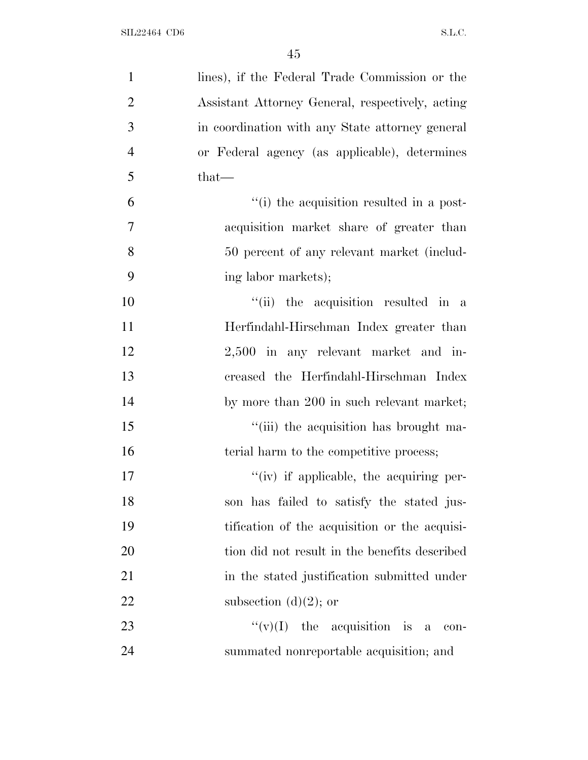| $\mathbf{1}$   | lines), if the Federal Trade Commission or the   |
|----------------|--------------------------------------------------|
| $\overline{2}$ | Assistant Attorney General, respectively, acting |
| 3              | in coordination with any State attorney general  |
| $\overline{4}$ | or Federal agency (as applicable), determines    |
| 5              | that—                                            |
| 6              | "(i) the acquisition resulted in a post-         |
| 7              | acquisition market share of greater than         |
| 8              | 50 percent of any relevant market (includ-       |
| 9              | ing labor markets);                              |
| 10             | "(ii) the acquisition resulted in a              |
| 11             | Herfindahl-Hirschman Index greater than          |
| 12             | 2,500 in any relevant market and in-             |
| 13             | creased the Herfindahl-Hirschman Index           |
| 14             | by more than 200 in such relevant market;        |
| 15             | "(iii) the acquisition has brought ma-           |
| 16             | terial harm to the competitive process;          |
| 17             | $f'(iv)$ if applicable, the acquiring per-       |
| 18             | son has failed to satisfy the stated jus-        |
| 19             | tification of the acquisition or the acquisi-    |
| 20             | tion did not result in the benefits described    |
| 21             | in the stated justification submitted under      |
| 22             | subsection $(d)(2)$ ; or                         |
| 23             | " $(v)(I)$ the acquisition is a con-             |
| 24             | summated nonreportable acquisition; and          |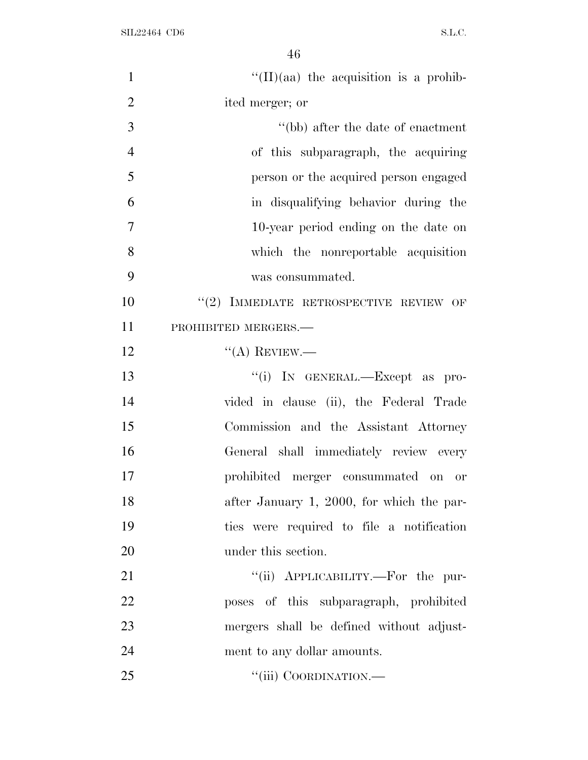| $\mathbf{1}$   | $\lq\lq$ (II)(aa) the acquisition is a prohib- |
|----------------|------------------------------------------------|
| $\overline{2}$ | ited merger; or                                |
| 3              | "(bb) after the date of enactment"             |
| $\overline{4}$ | of this subparagraph, the acquiring            |
| 5              | person or the acquired person engaged          |
| 6              | in disqualifying behavior during the           |
| $\overline{7}$ | 10-year period ending on the date on           |
| 8              | which the nonreportable acquisition            |
| 9              | was consummated.                               |
| 10             | $``(2)$ IMMEDIATE RETROSPECTIVE REVIEW OF      |
| 11             | PROHIBITED MERGERS.-                           |
| 12             | $\lq\lq$ (A) REVIEW.—                          |
| 13             | "(i) IN GENERAL.—Except as pro-                |
| 14             | vided in clause (ii), the Federal Trade        |
| 15             | Commission and the Assistant Attorney          |
| 16             | General shall immediately review every         |
| 17             | prohibited merger consummated on<br><b>or</b>  |
| 18             | after January 1, 2000, for which the par-      |
| 19             | ties were required to file a notification      |
| 20             | under this section.                            |
| 21             | "(ii) APPLICABILITY.—For the pur-              |
| 22             | poses of this subparagraph, prohibited         |
| 23             | mergers shall be defined without adjust-       |
| 24             | ment to any dollar amounts.                    |
| 25             | "(iii) COORDINATION.—                          |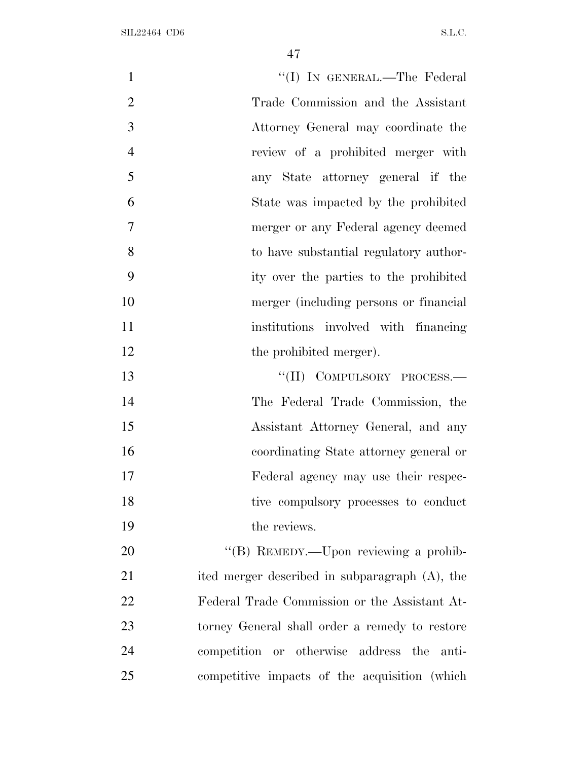| $\mathbf{1}$   | "(I) IN GENERAL.—The Federal                   |
|----------------|------------------------------------------------|
| $\overline{2}$ | Trade Commission and the Assistant             |
| 3              | Attorney General may coordinate the            |
| $\overline{4}$ | review of a prohibited merger with             |
| 5              | any State attorney general if the              |
| 6              | State was impacted by the prohibited           |
| $\overline{7}$ | merger or any Federal agency deemed            |
| 8              | to have substantial regulatory author-         |
| 9              | ity over the parties to the prohibited         |
| 10             | merger (including persons or financial         |
| 11             | institutions involved with financing           |
| 12             | the prohibited merger).                        |
| 13             | "(II) COMPULSORY PROCESS.-                     |
| 14             | The Federal Trade Commission, the              |
| 15             | Assistant Attorney General, and any            |
| 16             | coordinating State attorney general or         |
| 17             | Federal agency may use their respec-           |
| 18             | tive compulsory processes to conduct           |
| 19             | the reviews.                                   |
| 20             | "(B) REMEDY.—Upon reviewing a prohib-          |
| 21             | ited merger described in subparagraph (A), the |
| 22             | Federal Trade Commission or the Assistant At-  |
| 23             | torney General shall order a remedy to restore |
| 24             | competition or otherwise address the anti-     |
| 25             | competitive impacts of the acquisition (which  |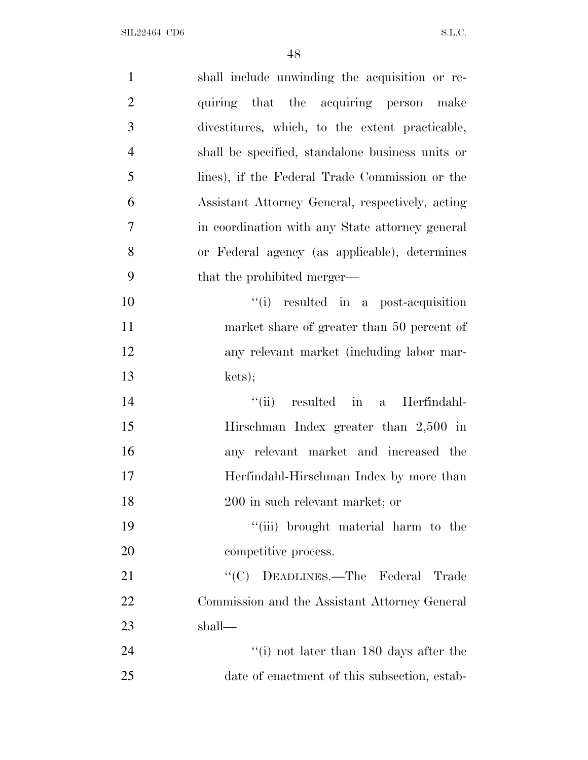| $\mathbf{1}$   | shall include unwinding the acquisition or re-   |
|----------------|--------------------------------------------------|
| $\overline{2}$ | quiring that the acquiring person make           |
| 3              | divestitures, which, to the extent practicable,  |
| $\overline{4}$ | shall be specified, standalone business units or |
| 5              | lines), if the Federal Trade Commission or the   |
| 6              | Assistant Attorney General, respectively, acting |
| 7              | in coordination with any State attorney general  |
| 8              | or Federal agency (as applicable), determines    |
| 9              | that the prohibited merger—                      |
| 10             | "(i) resulted in a post-acquisition              |
| 11             | market share of greater than 50 percent of       |
| 12             | any relevant market (including labor mar-        |
| 13             | kets);                                           |
| 14             | $``(ii)$ resulted in<br>a Herfindahl-            |
| 15             | Hirschman Index greater than $2,500$ in          |
| 16             | any relevant market and increased the            |
| 17             | Herfindahl-Hirschman Index by more than          |
| 18             | 200 in such relevant market; or                  |
| 19             | "(iii) brought material harm to the              |
| 20             | competitive process.                             |
| 21             | "(C) DEADLINES.—The Federal Trade                |
| 22             | Commission and the Assistant Attorney General    |
| 23             | shall—                                           |
| 24             | "(i) not later than $180$ days after the         |
| 25             | date of enactment of this subsection, estab-     |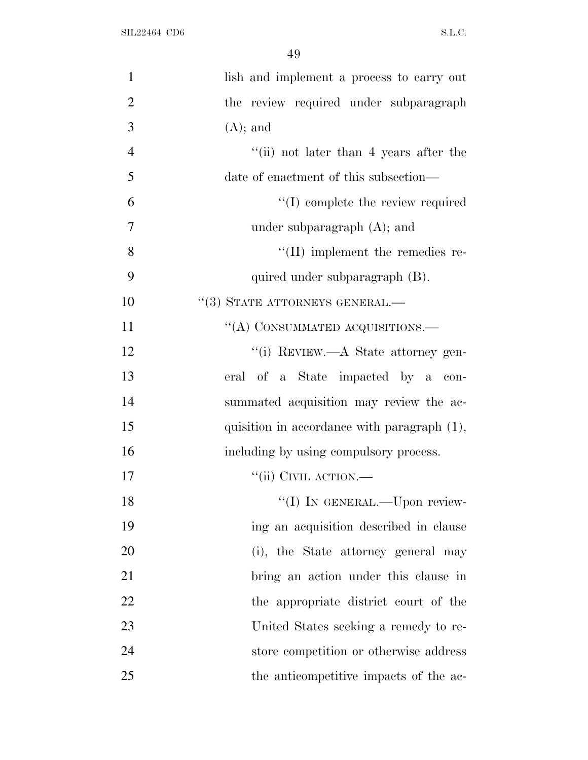| $\mathbf{1}$   | lish and implement a process to carry out   |
|----------------|---------------------------------------------|
| $\overline{2}$ | the review required under subparagraph      |
| 3              | $(A)$ ; and                                 |
| $\overline{4}$ | "(ii) not later than 4 years after the      |
| 5              | date of enactment of this subsection—       |
| 6              | $\lq\lq$ complete the review required       |
| 7              | under subparagraph $(A)$ ; and              |
| 8              | $\lq\lq$ (II) implement the remedies re-    |
| 9              | quired under subparagraph (B).              |
| 10             | $``(3)$ STATE ATTORNEYS GENERAL.—           |
| 11             | "(A) CONSUMMATED ACQUISITIONS.—             |
| 12             | "(i) REVIEW.—A State attorney gen-          |
| 13             | eral of a State impacted by a con-          |
| 14             | summated acquisition may review the ac-     |
| 15             | quisition in accordance with paragraph (1), |
| 16             | including by using compulsory process.      |
| 17             | $``$ (ii) CIVIL ACTION.—                    |
| 18             | "(I) IN GENERAL.—Upon review-               |
| 19             | ing an acquisition described in clause      |
| 20             | (i), the State attorney general may         |
| 21             | bring an action under this clause in        |
| 22             | the appropriate district court of the       |
| 23             | United States seeking a remedy to re-       |
| 24             | store competition or otherwise address      |
| 25             | the anticompetitive impacts of the ac-      |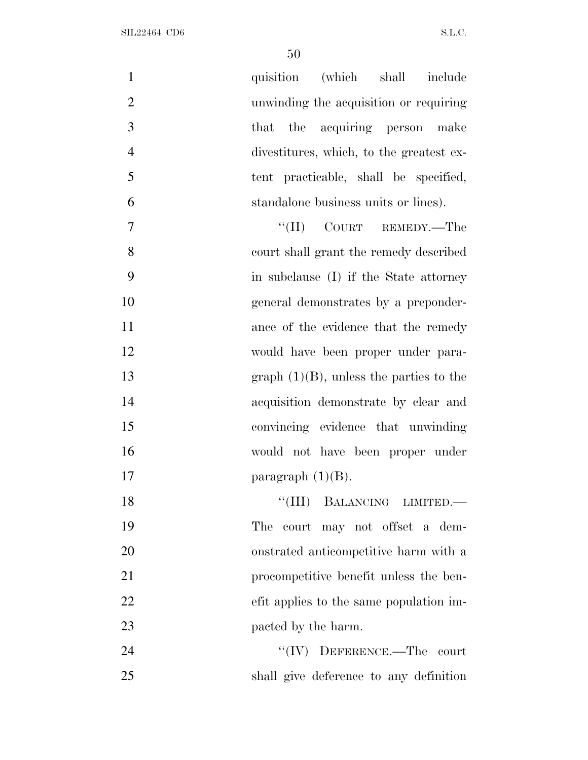| $\mathbf{1}$<br>quisition (which shall include             |
|------------------------------------------------------------|
| $\overline{2}$<br>unwinding the acquisition or requiring   |
| 3<br>that the acquiring person make                        |
| $\overline{4}$<br>divestitures, which, to the greatest ex- |
| 5<br>tent practicable, shall be specified,                 |
| 6<br>standalone business units or lines).                  |
| $\overline{7}$<br>$``(II)$ COURT REMEDY.—The               |
| 8<br>court shall grant the remedy described                |
| 9<br>in subclause (I) if the State attorney                |
| 10<br>general demonstrates by a preponder-                 |
| 11<br>ance of the evidence that the remedy                 |
| 12<br>would have been proper under para-                   |
| 13<br>graph $(1)(B)$ , unless the parties to the           |
| 14<br>acquisition demonstrate by clear and                 |
| 15<br>convincing evidence that unwinding                   |
| 16<br>would not have been proper under                     |
| 17<br>paragraph $(1)(B)$ .                                 |
| 18<br>"(III) BALANCING LIMITED.—                           |
| 19<br>The court may not offset a dem-                      |
| 20<br>onstrated anticompetitive harm with a                |
| 21<br>procompetitive benefit unless the ben-               |
| 22<br>efit applies to the same population im-              |
| 23<br>pacted by the harm.                                  |
| 24<br>$``(IV)$ DEFERENCE.—The court                        |
| 25<br>shall give deference to any definition               |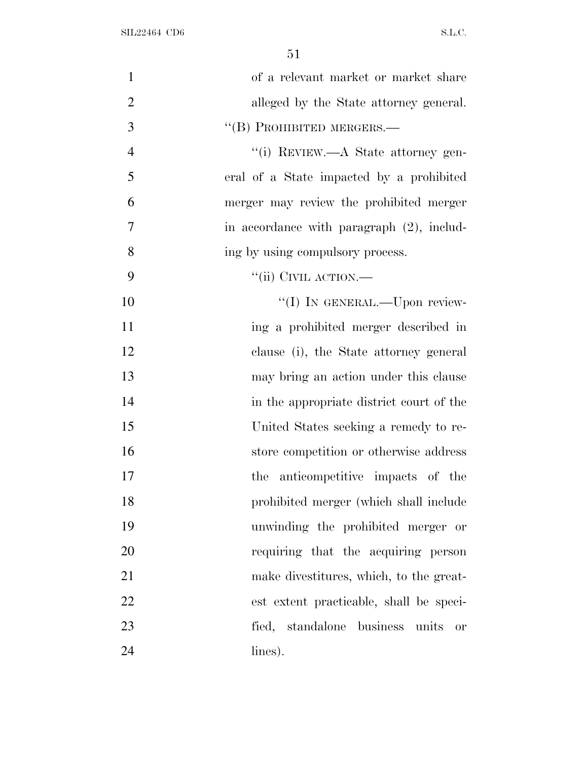| $\mathbf{1}$   | of a relevant market or market share         |
|----------------|----------------------------------------------|
| $\overline{2}$ | alleged by the State attorney general.       |
| 3              | "(B) PROHIBITED MERGERS.-                    |
| $\overline{4}$ | "(i) REVIEW.—A State attorney gen-           |
| 5              | eral of a State impacted by a prohibited     |
| 6              | merger may review the prohibited merger      |
| 7              | in accordance with paragraph (2), includ-    |
| 8              | ing by using compulsory process.             |
| 9              | "(ii) CIVIL ACTION.—                         |
| 10             | "(I) IN GENERAL.—Upon review-                |
| 11             | ing a prohibited merger described in         |
| 12             | clause (i), the State attorney general       |
| 13             | may bring an action under this clause        |
| 14             | in the appropriate district court of the     |
| 15             | United States seeking a remedy to re-        |
| 16             | store competition or otherwise address       |
| 17             | the anticompetitive impacts of the           |
| 18             | prohibited merger (which shall include       |
| 19             | unwinding the prohibited merger or           |
| 20             | requiring that the acquiring person          |
| 21             | make divestitures, which, to the great-      |
| 22             | est extent practicable, shall be speci-      |
| 23             | fied, standalone business units<br><b>or</b> |
| 24             | lines).                                      |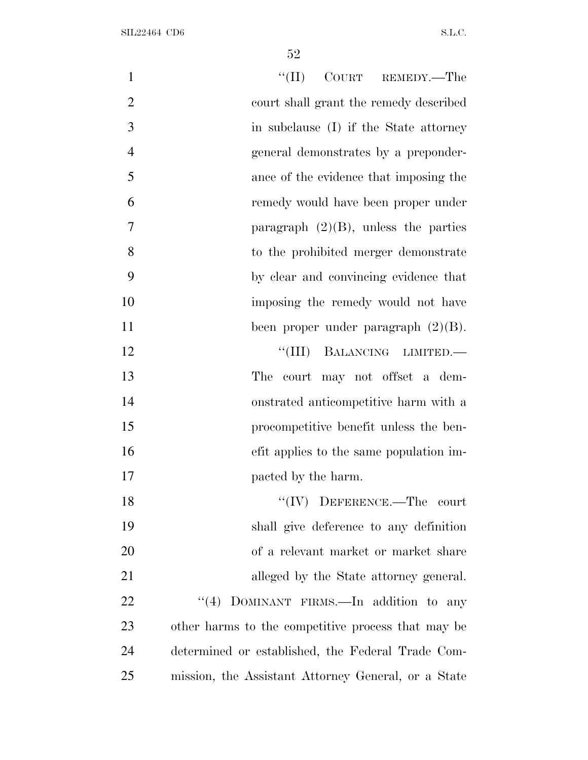| $\mathbf{1}$   | $``(II)$ COURT REMEDY.—The                          |
|----------------|-----------------------------------------------------|
| $\overline{2}$ | court shall grant the remedy described              |
| 3              | in subclause (I) if the State attorney              |
| $\overline{4}$ | general demonstrates by a preponder-                |
| 5              | ance of the evidence that imposing the              |
| 6              | remedy would have been proper under                 |
| 7              | paragraph $(2)(B)$ , unless the parties             |
| 8              | to the prohibited merger demonstrate                |
| 9              | by clear and convincing evidence that               |
| 10             | imposing the remedy would not have                  |
| 11             | been proper under paragraph $(2)(B)$ .              |
| 12             | "(III) BALANCING LIMITED.-                          |
| 13             | court may not offset a dem-<br>The                  |
| 14             | onstrated anticompetitive harm with a               |
| 15             | procompetitive benefit unless the ben-              |
| 16             | efit applies to the same population im-             |
| 17             | pacted by the harm.                                 |
| 18             | $``(IV)$ DEFERENCE.—The court                       |
| 19             | shall give deference to any definition              |
| 20             | of a relevant market or market share                |
| 21             | alleged by the State attorney general.              |
| 22             | "(4) DOMINANT FIRMS.—In addition to any             |
| 23             | other harms to the competitive process that may be  |
| 24             | determined or established, the Federal Trade Com-   |
| 25             | mission, the Assistant Attorney General, or a State |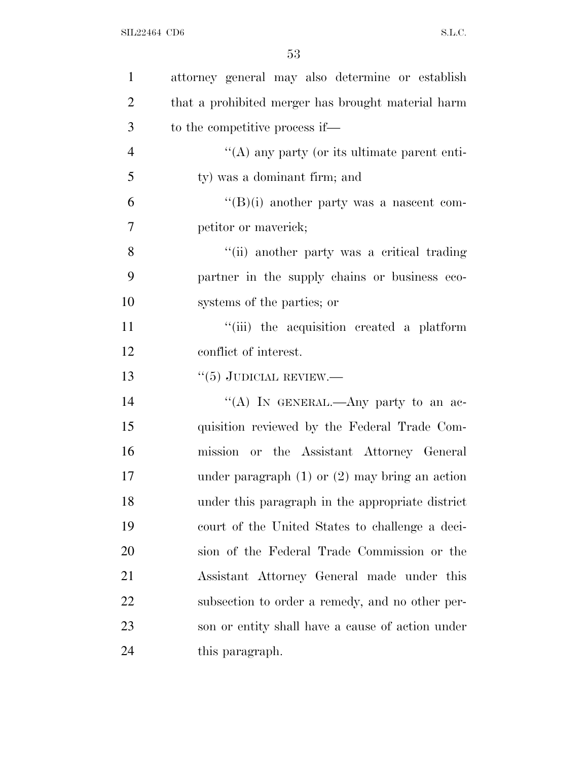| $\mathbf{1}$   | attorney general may also determine or establish   |
|----------------|----------------------------------------------------|
| $\overline{2}$ | that a prohibited merger has brought material harm |
| 3              | to the competitive process if—                     |
| $\overline{4}$ | "(A) any party (or its ultimate parent enti-       |
| 5              | ty) was a dominant firm; and                       |
| 6              | $\lq\lq(B)(i)$ another party was a nascent com-    |
| 7              | petitor or maverick;                               |
| 8              | "(ii) another party was a critical trading         |
| 9              | partner in the supply chains or business eco-      |
| 10             | systems of the parties; or                         |
| 11             | "(iii) the acquisition created a platform          |
| 12             | conflict of interest.                              |
| 13             | $``(5)$ JUDICIAL REVIEW.—                          |
| 14             | "(A) IN GENERAL.—Any party to an ac-               |
| 15             | quisition reviewed by the Federal Trade Com-       |
| 16             | mission or the Assistant Attorney General          |
| 17             | under paragraph $(1)$ or $(2)$ may bring an action |
| 18             | under this paragraph in the appropriate district   |
| 19             | court of the United States to challenge a deci-    |
| 20             | sion of the Federal Trade Commission or the        |
| 21             | Assistant Attorney General made under this         |
| 22             | subsection to order a remedy, and no other per-    |
| 23             | son or entity shall have a cause of action under   |
| 24             | this paragraph.                                    |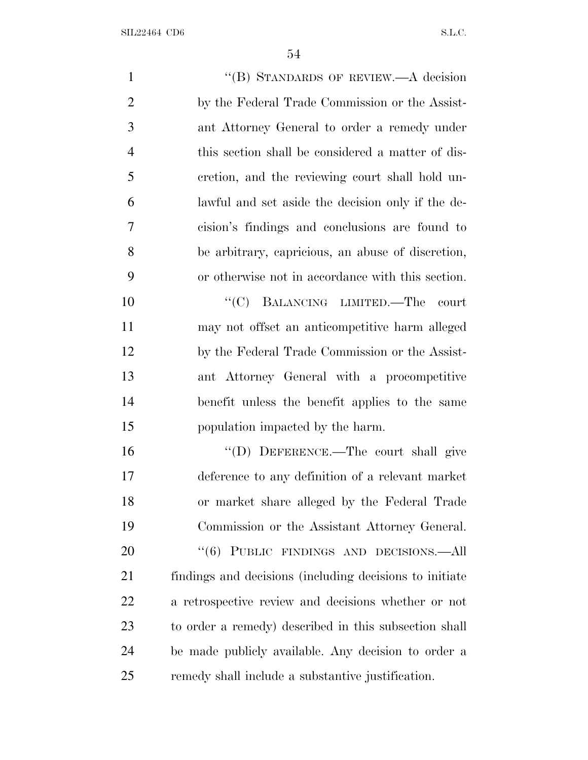1 ''(B) STANDARDS OF REVIEW.—A decision by the Federal Trade Commission or the Assist- ant Attorney General to order a remedy under this section shall be considered a matter of dis- cretion, and the reviewing court shall hold un- lawful and set aside the decision only if the de- cision's findings and conclusions are found to be arbitrary, capricious, an abuse of discretion, or otherwise not in accordance with this section.  $"({\rm C})$  BALANCING LIMITED.—The court may not offset an anticompetitive harm alleged by the Federal Trade Commission or the Assist- ant Attorney General with a procompetitive benefit unless the benefit applies to the same population impacted by the harm. 16 "(D) DEFERENCE.—The court shall give deference to any definition of a relevant market or market share alleged by the Federal Trade Commission or the Assistant Attorney General. 20 "(6) PUBLIC FINDINGS AND DECISIONS.—All findings and decisions (including decisions to initiate a retrospective review and decisions whether or not to order a remedy) described in this subsection shall be made publicly available. Any decision to order a remedy shall include a substantive justification.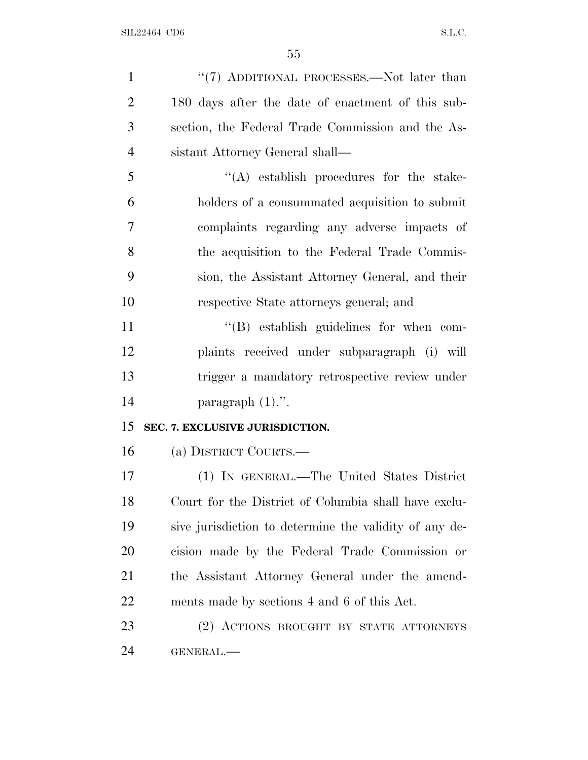1 "(7) ADDITIONAL PROCESSES.—Not later than 180 days after the date of enactment of this sub- section, the Federal Trade Commission and the As- sistant Attorney General shall— ''(A) establish procedures for the stake- holders of a consummated acquisition to submit complaints regarding any adverse impacts of the acquisition to the Federal Trade Commis- sion, the Assistant Attorney General, and their respective State attorneys general; and  $''(B)$  establish guidelines for when com- plaints received under subparagraph (i) will trigger a mandatory retrospective review under 14 paragraph  $(1)$ .". **SEC. 7. EXCLUSIVE JURISDICTION.** (a) DISTRICT COURTS.— (1) IN GENERAL.—The United States District Court for the District of Columbia shall have exclu- sive jurisdiction to determine the validity of any de- cision made by the Federal Trade Commission or the Assistant Attorney General under the amend- ments made by sections 4 and 6 of this Act. (2) ACTIONS BROUGHT BY STATE ATTORNEYS GENERAL.—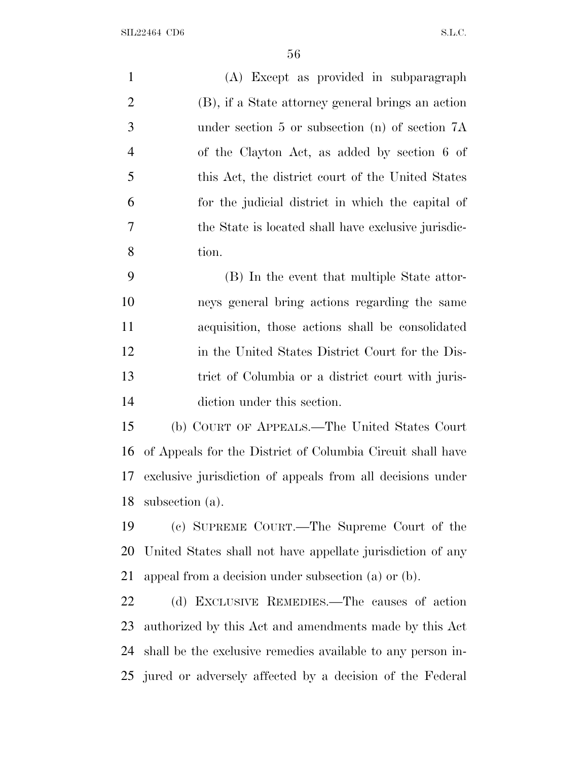| $\mathbf{1}$   | (A) Except as provided in subparagraph                      |
|----------------|-------------------------------------------------------------|
| $\overline{2}$ | (B), if a State attorney general brings an action           |
| 3              | under section 5 or subsection (n) of section 7A             |
| $\overline{4}$ | of the Clayton Act, as added by section 6 of                |
| 5              | this Act, the district court of the United States           |
| 6              | for the judicial district in which the capital of           |
| 7              | the State is located shall have exclusive jurisdic-         |
| 8              | tion.                                                       |
| 9              | (B) In the event that multiple State attor-                 |
| 10             | neys general bring actions regarding the same               |
| 11             | acquisition, those actions shall be consolidated            |
| 12             | in the United States District Court for the Dis-            |
| 13             | trict of Columbia or a district court with juris-           |
| 14             | diction under this section.                                 |
| 15             | (b) COURT OF APPEALS.—The United States Court               |
| 16             | of Appeals for the District of Columbia Circuit shall have  |
| 17             | exclusive jurisdiction of appeals from all decisions under  |
| 18             | subsection (a).                                             |
| 19             | (c) SUPREME COURT.—The Supreme Court of the                 |
| 20             | United States shall not have appellate jurisdiction of any  |
| 21             | appeal from a decision under subsection (a) or (b).         |
| 22             | (d) EXCLUSIVE REMEDIES.—The causes of action                |
| 23             | authorized by this Act and amendments made by this Act      |
| 24             | shall be the exclusive remedies available to any person in- |

jured or adversely affected by a decision of the Federal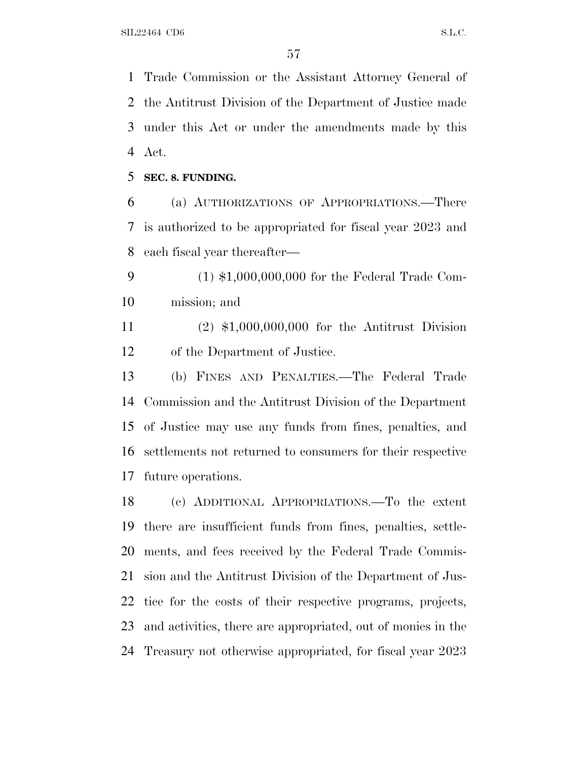Trade Commission or the Assistant Attorney General of the Antitrust Division of the Department of Justice made under this Act or under the amendments made by this Act.

**SEC. 8. FUNDING.**

 (a) AUTHORIZATIONS OF APPROPRIATIONS.—There is authorized to be appropriated for fiscal year 2023 and each fiscal year thereafter—

 (1) \$1,000,000,000 for the Federal Trade Com-mission; and

 (2) \$1,000,000,000 for the Antitrust Division of the Department of Justice.

 (b) FINES AND PENALTIES.—The Federal Trade Commission and the Antitrust Division of the Department of Justice may use any funds from fines, penalties, and settlements not returned to consumers for their respective future operations.

 (c) ADDITIONAL APPROPRIATIONS.—To the extent there are insufficient funds from fines, penalties, settle- ments, and fees received by the Federal Trade Commis- sion and the Antitrust Division of the Department of Jus- tice for the costs of their respective programs, projects, and activities, there are appropriated, out of monies in the Treasury not otherwise appropriated, for fiscal year 2023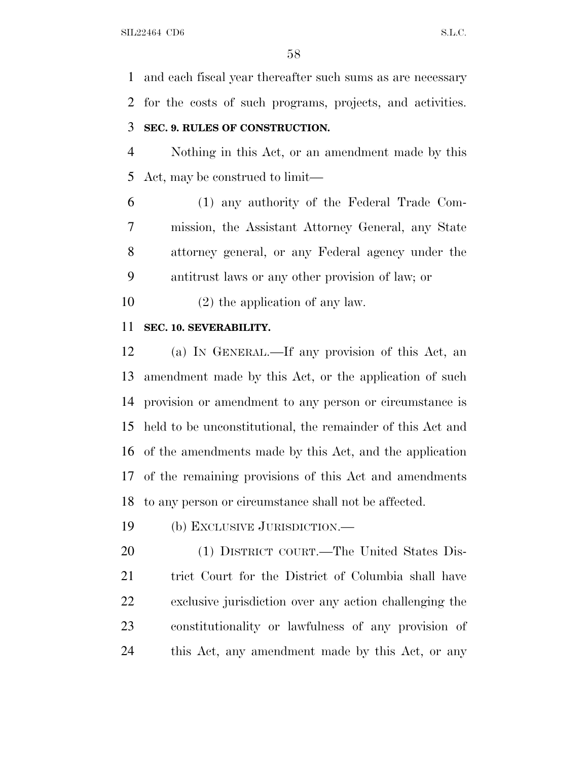and each fiscal year thereafter such sums as are necessary for the costs of such programs, projects, and activities.

# **SEC. 9. RULES OF CONSTRUCTION.**

 Nothing in this Act, or an amendment made by this Act, may be construed to limit—

 (1) any authority of the Federal Trade Com- mission, the Assistant Attorney General, any State attorney general, or any Federal agency under the antitrust laws or any other provision of law; or

(2) the application of any law.

#### **SEC. 10. SEVERABILITY.**

 (a) I<sup>N</sup> GENERAL.—If any provision of this Act, an amendment made by this Act, or the application of such provision or amendment to any person or circumstance is held to be unconstitutional, the remainder of this Act and of the amendments made by this Act, and the application of the remaining provisions of this Act and amendments to any person or circumstance shall not be affected.

(b) EXCLUSIVE JURISDICTION.—

 (1) DISTRICT COURT.—The United States Dis- trict Court for the District of Columbia shall have exclusive jurisdiction over any action challenging the constitutionality or lawfulness of any provision of this Act, any amendment made by this Act, or any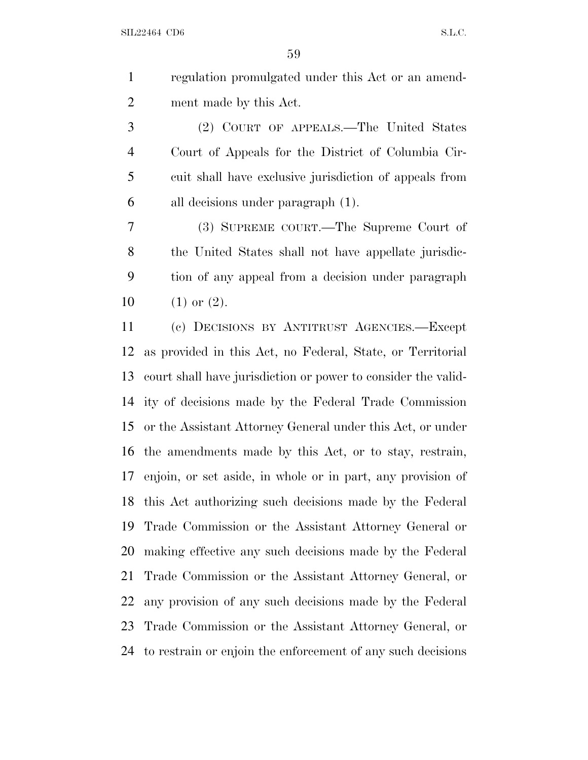regulation promulgated under this Act or an amend-ment made by this Act.

 (2) COURT OF APPEALS.—The United States Court of Appeals for the District of Columbia Cir- cuit shall have exclusive jurisdiction of appeals from all decisions under paragraph (1).

 (3) SUPREME COURT.—The Supreme Court of the United States shall not have appellate jurisdic- tion of any appeal from a decision under paragraph  $(1)$  or  $(2)$ .

 (c) DECISIONS BY ANTITRUST AGENCIES.—Except as provided in this Act, no Federal, State, or Territorial court shall have jurisdiction or power to consider the valid- ity of decisions made by the Federal Trade Commission or the Assistant Attorney General under this Act, or under the amendments made by this Act, or to stay, restrain, enjoin, or set aside, in whole or in part, any provision of this Act authorizing such decisions made by the Federal Trade Commission or the Assistant Attorney General or making effective any such decisions made by the Federal Trade Commission or the Assistant Attorney General, or any provision of any such decisions made by the Federal Trade Commission or the Assistant Attorney General, or to restrain or enjoin the enforcement of any such decisions